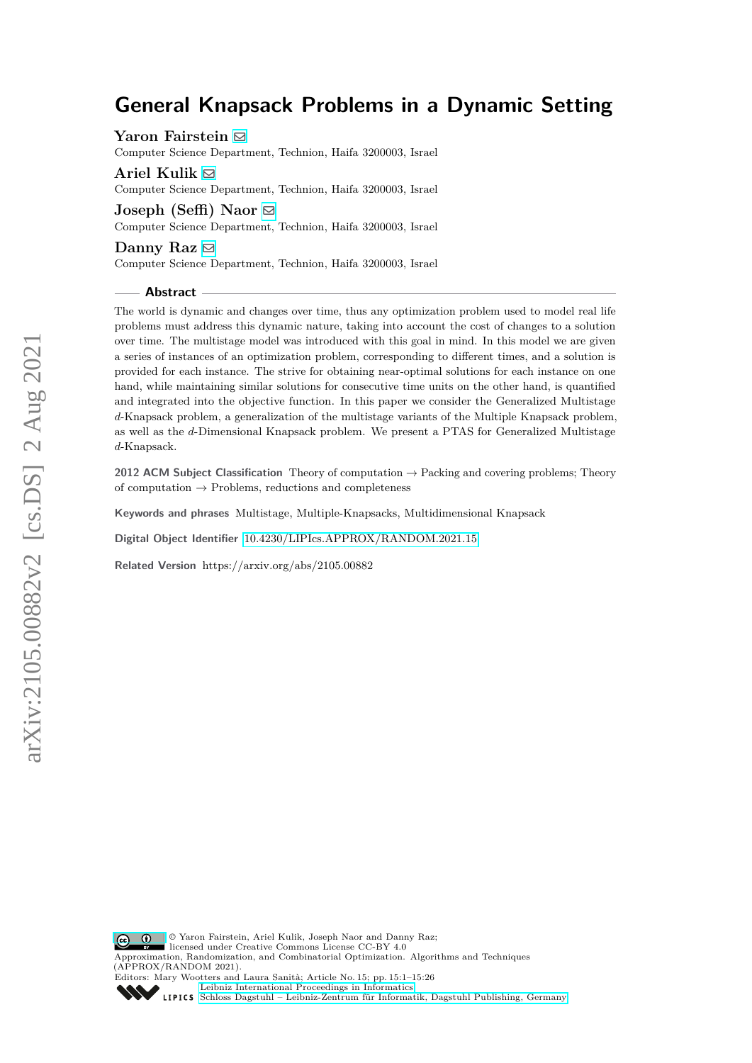# **General Knapsack Problems in a Dynamic Setting**

**Yaron Fairstein** [!](mailto:yyfairstein@gmail.com)

Computer Science Department, Technion, Haifa 3200003, Israel

**Ariel Kulik** [!](mailto:naor@cs.technion.ac.il) Computer Science Department, Technion, Haifa 3200003, Israel

**Joseph (Seffi) Naor** [!](mailto:kulik@cs.technion.ac.il) Computer Science Department, Technion, Haifa 3200003, Israel

#### **Danny Raz** [!](mailto:danny@cs.technion.ac.il)

Computer Science Department, Technion, Haifa 3200003, Israel

#### **Abstract**

The world is dynamic and changes over time, thus any optimization problem used to model real life problems must address this dynamic nature, taking into account the cost of changes to a solution over time. The multistage model was introduced with this goal in mind. In this model we are given a series of instances of an optimization problem, corresponding to different times, and a solution is provided for each instance. The strive for obtaining near-optimal solutions for each instance on one hand, while maintaining similar solutions for consecutive time units on the other hand, is quantified and integrated into the objective function. In this paper we consider the Generalized Multistage *d*-Knapsack problem, a generalization of the multistage variants of the Multiple Knapsack problem, as well as the *d*-Dimensional Knapsack problem. We present a PTAS for Generalized Multistage *d*-Knapsack.

**2012 ACM Subject Classification** Theory of computation → Packing and covering problems; Theory of computation  $\rightarrow$  Problems, reductions and completeness

**Keywords and phrases** Multistage, Multiple-Knapsacks, Multidimensional Knapsack

**Digital Object Identifier** [10.4230/LIPIcs.APPROX/RANDOM.2021.15](https://doi.org/10.4230/LIPIcs.APPROX/RANDOM.2021.15)

**Related Version** https://arxiv.org/abs/2105.00882

 $\boxed{6}$   $\boxed{0}$ licensed under Creative Commons License CC-BY 4.0 Approximation, Randomization, and Combinatorial Optimization. Algorithms and Techniques (APPROX/RANDOM 2021). Editors: Mary Wootters and Laura Sanità; Article No. 15; pp. 15:1–15:26 [Leibniz International Proceedings in Informatics](https://www.dagstuhl.de/lipics/)

© Yaron Fairstein, Ariel Kulik, Joseph Naor and Danny Raz;

[Schloss Dagstuhl – Leibniz-Zentrum für Informatik, Dagstuhl Publishing, Germany](https://www.dagstuhl.de)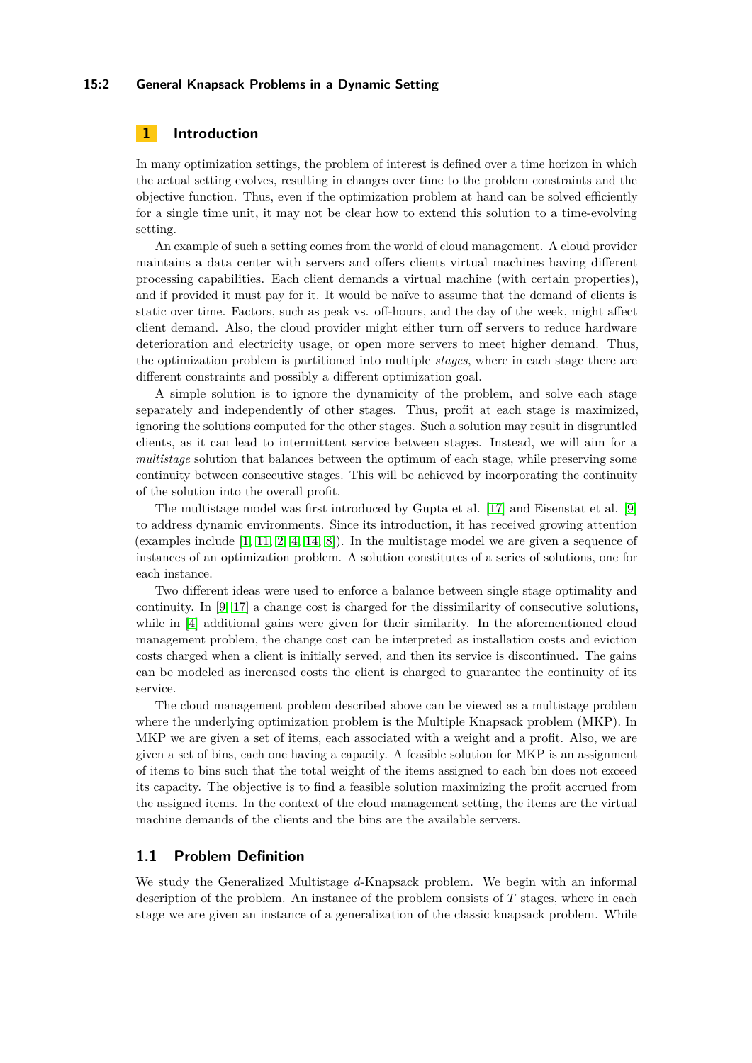#### **15:2 General Knapsack Problems in a Dynamic Setting**

# **1 Introduction**

In many optimization settings, the problem of interest is defined over a time horizon in which the actual setting evolves, resulting in changes over time to the problem constraints and the objective function. Thus, even if the optimization problem at hand can be solved efficiently for a single time unit, it may not be clear how to extend this solution to a time-evolving setting.

An example of such a setting comes from the world of cloud management. A cloud provider maintains a data center with servers and offers clients virtual machines having different processing capabilities. Each client demands a virtual machine (with certain properties), and if provided it must pay for it. It would be naïve to assume that the demand of clients is static over time. Factors, such as peak vs. off-hours, and the day of the week, might affect client demand. Also, the cloud provider might either turn off servers to reduce hardware deterioration and electricity usage, or open more servers to meet higher demand. Thus, the optimization problem is partitioned into multiple *stages*, where in each stage there are different constraints and possibly a different optimization goal.

A simple solution is to ignore the dynamicity of the problem, and solve each stage separately and independently of other stages. Thus, profit at each stage is maximized, ignoring the solutions computed for the other stages. Such a solution may result in disgruntled clients, as it can lead to intermittent service between stages. Instead, we will aim for a *multistage* solution that balances between the optimum of each stage, while preserving some continuity between consecutive stages. This will be achieved by incorporating the continuity of the solution into the overall profit.

The multistage model was first introduced by Gupta et al. [\[17\]](#page-16-0) and Eisenstat et al. [\[9\]](#page-16-1) to address dynamic environments. Since its introduction, it has received growing attention (examples include  $[1, 11, 2, 4, 14, 8]$  $[1, 11, 2, 4, 14, 8]$  $[1, 11, 2, 4, 14, 8]$  $[1, 11, 2, 4, 14, 8]$  $[1, 11, 2, 4, 14, 8]$  $[1, 11, 2, 4, 14, 8]$  $[1, 11, 2, 4, 14, 8]$  $[1, 11, 2, 4, 14, 8]$  $[1, 11, 2, 4, 14, 8]$  $[1, 11, 2, 4, 14, 8]$  $[1, 11, 2, 4, 14, 8]$ ). In the multistage model we are given a sequence of instances of an optimization problem. A solution constitutes of a series of solutions, one for each instance.

Two different ideas were used to enforce a balance between single stage optimality and continuity. In [\[9,](#page-16-1) [17\]](#page-16-0) a change cost is charged for the dissimilarity of consecutive solutions, while in [\[4\]](#page-16-5) additional gains were given for their similarity. In the aforementioned cloud management problem, the change cost can be interpreted as installation costs and eviction costs charged when a client is initially served, and then its service is discontinued. The gains can be modeled as increased costs the client is charged to guarantee the continuity of its service.

The cloud management problem described above can be viewed as a multistage problem where the underlying optimization problem is the Multiple Knapsack problem (MKP). In MKP we are given a set of items, each associated with a weight and a profit. Also, we are given a set of bins, each one having a capacity. A feasible solution for MKP is an assignment of items to bins such that the total weight of the items assigned to each bin does not exceed its capacity. The objective is to find a feasible solution maximizing the profit accrued from the assigned items. In the context of the cloud management setting, the items are the virtual machine demands of the clients and the bins are the available servers.

# <span id="page-1-0"></span>**1.1 Problem Definition**

We study the Generalized Multistage *d*-Knapsack problem. We begin with an informal description of the problem. An instance of the problem consists of *T* stages, where in each stage we are given an instance of a generalization of the classic knapsack problem. While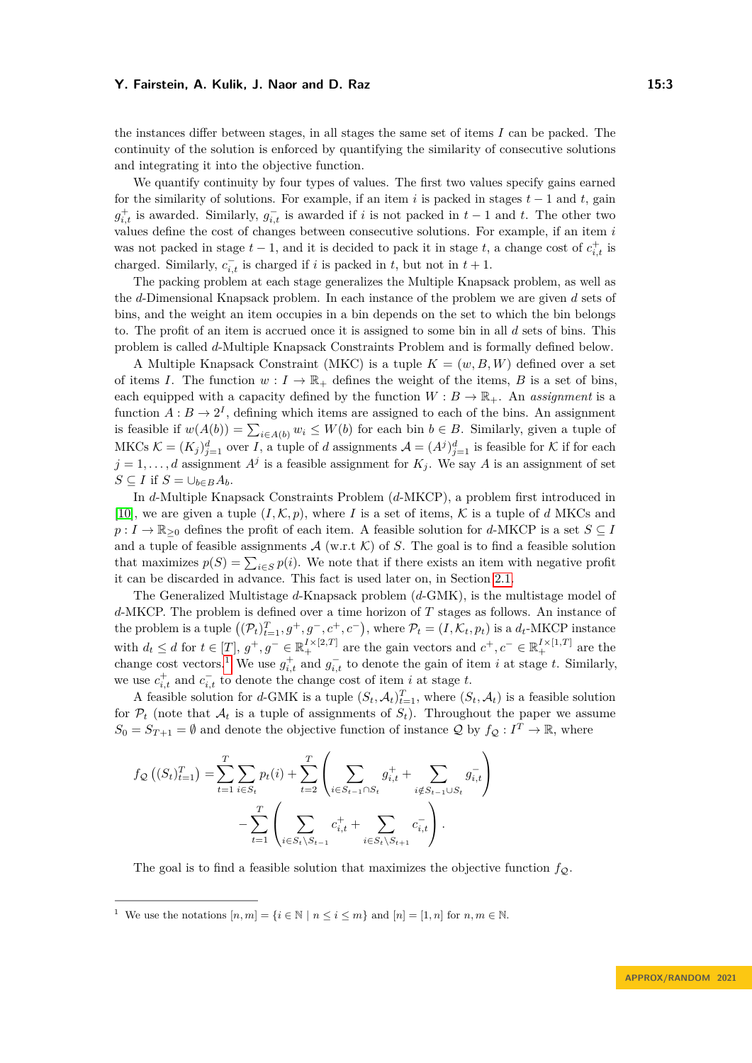the instances differ between stages, in all stages the same set of items *I* can be packed. The continuity of the solution is enforced by quantifying the similarity of consecutive solutions and integrating it into the objective function.

We quantify continuity by four types of values. The first two values specify gains earned for the similarity of solutions. For example, if an item  $i$  is packed in stages  $t - 1$  and  $t$ , gain  $g_{i,t}^+$  is awarded. Similarly,  $g_{i,t}^-$  is awarded if *i* is not packed in  $t-1$  and  $t$ . The other two values define the cost of changes between consecutive solutions. For example, if an item *i* was not packed in stage  $t-1$ , and it is decided to pack it in stage  $t$ , a change cost of  $c_{i,t}^+$  is charged. Similarly,  $c_{i,t}^-$  is charged if *i* is packed in *t*, but not in  $t + 1$ .

The packing problem at each stage generalizes the Multiple Knapsack problem, as well as the *d*-Dimensional Knapsack problem. In each instance of the problem we are given *d* sets of bins, and the weight an item occupies in a bin depends on the set to which the bin belongs to. The profit of an item is accrued once it is assigned to some bin in all *d* sets of bins. This problem is called *d*-Multiple Knapsack Constraints Problem and is formally defined below.

A Multiple Knapsack Constraint (MKC) is a tuple *K* = (*w, B, W*) defined over a set of items *I*. The function  $w: I \to \mathbb{R}_+$  defines the weight of the items, *B* is a set of bins, each equipped with a capacity defined by the function  $W : B \to \mathbb{R}_+$ . An *assignment* is a function  $A: B \to 2^I$ , defining which items are assigned to each of the bins. An assignment is feasible if  $w(A(b)) = \sum_{i \in A(b)} w_i \leq W(b)$  for each bin  $b \in B$ . Similarly, given a tuple of MKCs  $\mathcal{K} = (K_j)_{j=1}^d$  over *I*, a tuple of *d* assignments  $\mathcal{A} = (A^j)_{j=1}^d$  is feasible for  $\mathcal{K}$  if for each  $j = 1, \ldots, d$  assignment  $A<sup>j</sup>$  is a feasible assignment for  $K<sub>j</sub>$ . We say *A* is an assignment of set *S* ⊆ *I* if  $S = \bigcup_{b \in B} A_b$ .

In *d*-Multiple Knapsack Constraints Problem (*d*-MKCP), a problem first introduced in [\[10\]](#page-16-8), we are given a tuple  $(I, \mathcal{K}, p)$ , where *I* is a set of items,  $\mathcal{K}$  is a tuple of *d* MKCs and  $p: I \to \mathbb{R}_{\geq 0}$  defines the profit of each item. A feasible solution for *d*-MKCP is a set *S* ⊆ *I* and a tuple of feasible assignments  $A$  (w.r.t  $K$ ) of *S*. The goal is to find a feasible solution that maximizes  $p(S) = \sum_{i \in S} p(i)$ . We note that if there exists an item with negative profit it can be discarded in advance. This fact is used later on, in Section [2.1.](#page-5-0)

The Generalized Multistage *d*-Knapsack problem (*d*-GMK), is the multistage model of *d*-MKCP. The problem is defined over a time horizon of *T* stages as follows. An instance of the problem is a tuple  $((\mathcal{P}_t)_{t=1}^T, g^+, g^-, c^+, c^-)$ , where  $\mathcal{P}_t = (I, \mathcal{K}_t, p_t)$  is a  $d_t$ -MKCP instance with  $d_t \leq d$  for  $t \in [T], g^+, g^- \in \mathbb{R}_+^{I \times [2,T]}$  are the gain vectors and  $c^+, c^- \in \mathbb{R}_+^{I \times [1,T]}$  are the change cost vectors.<sup>[1](#page-2-0)</sup> We use  $g_{i,t}^+$  and  $g_{i,t}^-$  to denote the gain of item *i* at stage *t*. Similarly, we use  $c_{i,t}^+$  and  $c_{i,t}^-$  to denote the change cost of item *i* at stage *t*.

A feasible solution for *d*-GMK is a tuple  $(S_t, A_t)_{t=1}^T$ , where  $(S_t, A_t)$  is a feasible solution for  $P_t$  (note that  $A_t$  is a tuple of assignments of  $S_t$ ). Throughout the paper we assume  $S_0 = S_{T+1} = \emptyset$  and denote the objective function of instance Q by  $f_Q: I^T \to \mathbb{R}$ , where

$$
f_{\mathcal{Q}}\left((S_{t})_{t=1}^{T}\right) = \sum_{t=1}^{T} \sum_{i \in S_{t}} p_{t}(i) + \sum_{t=2}^{T} \left(\sum_{i \in S_{t-1} \cap S_{t}} g_{i,t}^{+} + \sum_{i \notin S_{t-1} \cup S_{t}} g_{i,t}^{-}\right) - \sum_{t=1}^{T} \left(\sum_{i \in S_{t} \setminus S_{t-1}} c_{i,t}^{+} + \sum_{i \in S_{t} \setminus S_{t+1}} c_{i,t}^{-}\right).
$$

The goal is to find a feasible solution that maximizes the objective function  $f_{\mathcal{O}}$ .

<span id="page-2-0"></span><sup>&</sup>lt;sup>1</sup> We use the notations  $[n,m] = \{i \in \mathbb{N} \mid n \leq i \leq m\}$  and  $[n] = [1,n]$  for  $n,m \in \mathbb{N}$ .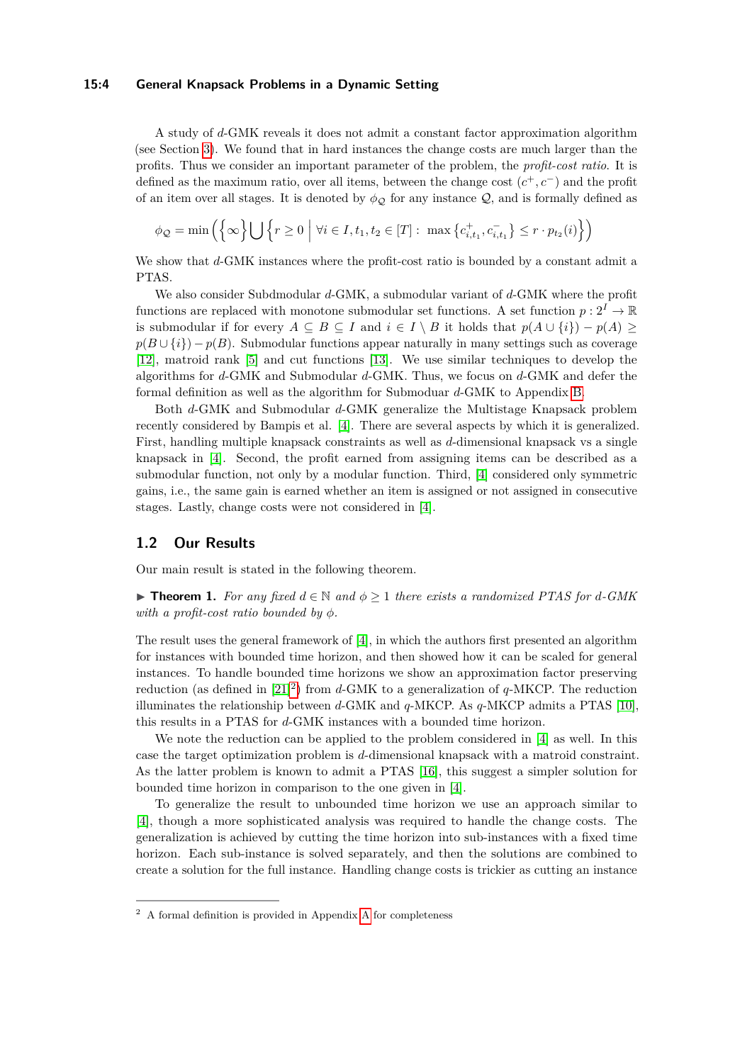#### **15:4 General Knapsack Problems in a Dynamic Setting**

A study of *d*-GMK reveals it does not admit a constant factor approximation algorithm (see Section [3\)](#page-13-0). We found that in hard instances the change costs are much larger than the profits. Thus we consider an important parameter of the problem, the *profit-cost ratio*. It is defined as the maximum ratio, over all items, between the change cost (*c* <sup>+</sup>*, c*−) and the profit of an item over all stages. It is denoted by  $\phi_{\mathcal{Q}}$  for any instance  $\mathcal{Q}$ , and is formally defined as

$$
\phi_{\mathcal{Q}} = \min\left(\left\{\infty\right\} \bigcup \left\{r \ge 0 \mid \forall i \in I, t_1, t_2 \in [T]: \max\left\{c_{i,t_1}^+, c_{i,t_1}^-\right\} \le r \cdot p_{t_2}(i)\right\}\right)
$$

We show that *d*-GMK instances where the profit-cost ratio is bounded by a constant admit a PTAS.

We also consider Subdmodular *d*-GMK, a submodular variant of *d*-GMK where the profit functions are replaced with monotone submodular set functions. A set function  $p: 2^I \to \mathbb{R}$ is submodular if for every  $A \subseteq B \subseteq I$  and  $i \in I \setminus B$  it holds that  $p(A \cup \{i\}) - p(A) \ge$  $p(B \cup \{i\}) - p(B)$ . Submodular functions appear naturally in many settings such as coverage [\[12\]](#page-16-9), matroid rank [\[5\]](#page-16-10) and cut functions [\[13\]](#page-16-11). We use similar techniques to develop the algorithms for *d*-GMK and Submodular *d*-GMK. Thus, we focus on *d*-GMK and defer the formal definition as well as the algorithm for Submoduar *d*-GMK to Appendix [B.](#page-19-0)

Both *d*-GMK and Submodular *d*-GMK generalize the Multistage Knapsack problem recently considered by Bampis et al. [\[4\]](#page-16-5). There are several aspects by which it is generalized. First, handling multiple knapsack constraints as well as *d*-dimensional knapsack vs a single knapsack in [\[4\]](#page-16-5). Second, the profit earned from assigning items can be described as a submodular function, not only by a modular function. Third, [\[4\]](#page-16-5) considered only symmetric gains, i.e., the same gain is earned whether an item is assigned or not assigned in consecutive stages. Lastly, change costs were not considered in [\[4\]](#page-16-5).

#### **1.2 Our Results**

<span id="page-3-1"></span>Our main result is stated in the following theorem.

▶ **Theorem 1.** For any fixed  $d \in \mathbb{N}$  and  $\phi \geq 1$  there exists a randomized PTAS for  $d$ -GMK *with a profit-cost ratio bounded by*  $\phi$ *.* 

The result uses the general framework of [\[4\]](#page-16-5), in which the authors first presented an algorithm for instances with bounded time horizon, and then showed how it can be scaled for general instances. To handle bounded time horizons we show an approximation factor preserving reduction (as defined in [\[21\]](#page-17-0) [2](#page-3-0) ) from *d*-GMK to a generalization of *q*-MKCP. The reduction illuminates the relationship between *d*-GMK and *q*-MKCP. As *q*-MKCP admits a PTAS [\[10\]](#page-16-8), this results in a PTAS for *d*-GMK instances with a bounded time horizon.

We note the reduction can be applied to the problem considered in [\[4\]](#page-16-5) as well. In this case the target optimization problem is *d*-dimensional knapsack with a matroid constraint. As the latter problem is known to admit a PTAS [\[16\]](#page-16-12), this suggest a simpler solution for bounded time horizon in comparison to the one given in [\[4\]](#page-16-5).

To generalize the result to unbounded time horizon we use an approach similar to [\[4\]](#page-16-5), though a more sophisticated analysis was required to handle the change costs. The generalization is achieved by cutting the time horizon into sub-instances with a fixed time horizon. Each sub-instance is solved separately, and then the solutions are combined to create a solution for the full instance. Handling change costs is trickier as cutting an instance

<span id="page-3-0"></span><sup>2</sup> A formal definition is provided in Appendix [A](#page-18-0) for completeness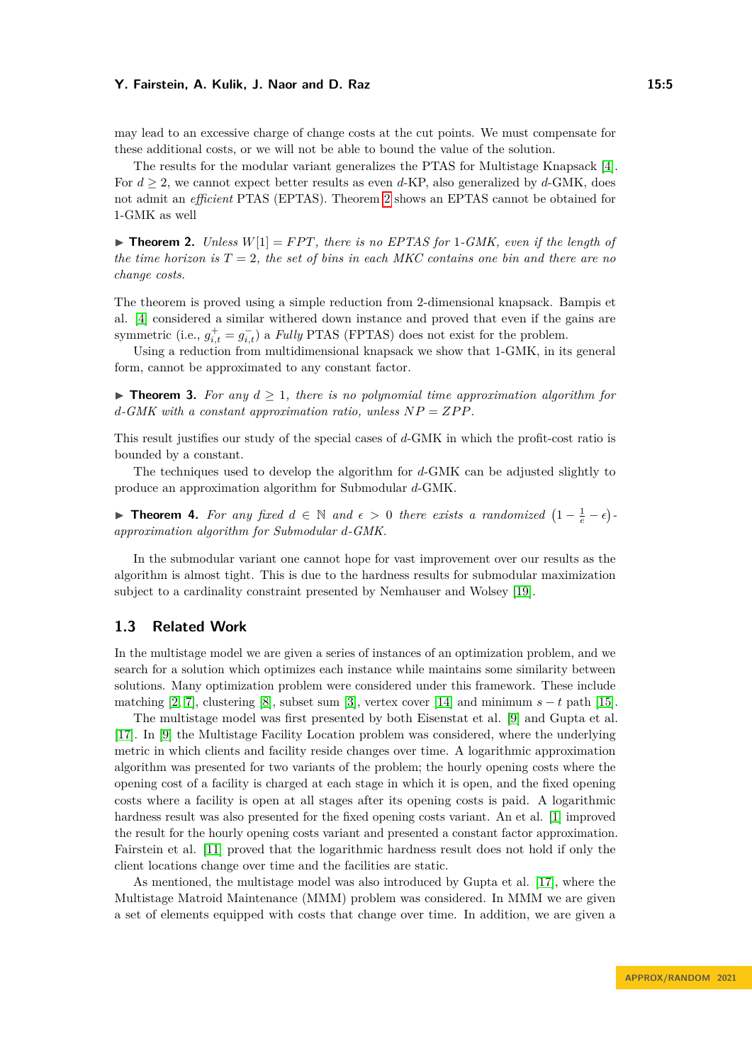may lead to an excessive charge of change costs at the cut points. We must compensate for these additional costs, or we will not be able to bound the value of the solution.

The results for the modular variant generalizes the PTAS for Multistage Knapsack [\[4\]](#page-16-5). For  $d \geq 2$ , we cannot expect better results as even *d*-KP, also generalized by *d*-GMK, does not admit an *efficient* PTAS (EPTAS). Theorem [2](#page-4-0) shows an EPTAS cannot be obtained for 1-GMK as well

<span id="page-4-0"></span> $\blacktriangleright$  **Theorem 2.** *Unless*  $W[1] = FPT$ *, there is no EPTAS for* 1*-GMK, even if the length of the time horizon is*  $T = 2$ , the set of bins in each MKC contains one bin and there are no *change costs.*

The theorem is proved using a simple reduction from 2-dimensional knapsack. Bampis et al. [\[4\]](#page-16-5) considered a similar withered down instance and proved that even if the gains are symmetric (i.e.,  $g_{i,t}^+ = g_{i,t}^-$ ) a *Fully* PTAS (FPTAS) does not exist for the problem.

Using a reduction from multidimensional knapsack we show that 1-GMK, in its general form, cannot be approximated to any constant factor.

<span id="page-4-1"></span> $\triangleright$  **Theorem 3.** For any  $d > 1$ , there is no polynomial time approximation algorithm for  $d$ <sup>*-GMK with a constant approximation ratio, unless*  $NP = ZPP$ *.*</sup>

This result justifies our study of the special cases of *d*-GMK in which the profit-cost ratio is bounded by a constant.

The techniques used to develop the algorithm for *d*-GMK can be adjusted slightly to produce an approximation algorithm for Submodular *d*-GMK.

<span id="page-4-2"></span>**► Theorem 4.** For any fixed  $d \in \mathbb{N}$  and  $\epsilon > 0$  there exists a randomized  $(1 - \frac{1}{e} - \epsilon)$ *approximation algorithm for Submodular d-GMK.*

In the submodular variant one cannot hope for vast improvement over our results as the algorithm is almost tight. This is due to the hardness results for submodular maximization subject to a cardinality constraint presented by Nemhauser and Wolsey [\[19\]](#page-16-13).

# **1.3 Related Work**

In the multistage model we are given a series of instances of an optimization problem, and we search for a solution which optimizes each instance while maintains some similarity between solutions. Many optimization problem were considered under this framework. These include matching [\[2,](#page-16-4) [7\]](#page-16-14), clustering [\[8\]](#page-16-7), subset sum [\[3\]](#page-16-15), vertex cover [\[14\]](#page-16-6) and minimum  $s - t$  path [\[15\]](#page-16-16).

The multistage model was first presented by both Eisenstat et al. [\[9\]](#page-16-1) and Gupta et al. [\[17\]](#page-16-0). In [\[9\]](#page-16-1) the Multistage Facility Location problem was considered, where the underlying metric in which clients and facility reside changes over time. A logarithmic approximation algorithm was presented for two variants of the problem; the hourly opening costs where the opening cost of a facility is charged at each stage in which it is open, and the fixed opening costs where a facility is open at all stages after its opening costs is paid. A logarithmic hardness result was also presented for the fixed opening costs variant. An et al. [\[1\]](#page-16-2) improved the result for the hourly opening costs variant and presented a constant factor approximation. Fairstein et al. [\[11\]](#page-16-3) proved that the logarithmic hardness result does not hold if only the client locations change over time and the facilities are static.

As mentioned, the multistage model was also introduced by Gupta et al. [\[17\]](#page-16-0), where the Multistage Matroid Maintenance (MMM) problem was considered. In MMM we are given a set of elements equipped with costs that change over time. In addition, we are given a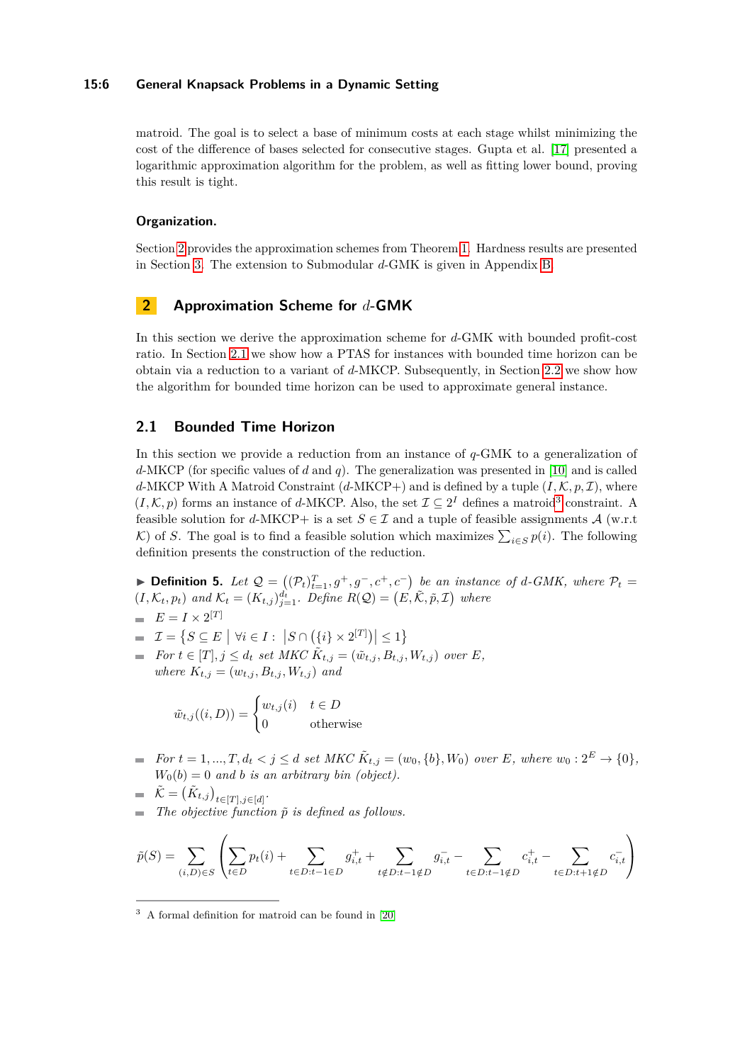#### **15:6 General Knapsack Problems in a Dynamic Setting**

matroid. The goal is to select a base of minimum costs at each stage whilst minimizing the cost of the difference of bases selected for consecutive stages. Gupta et al. [\[17\]](#page-16-0) presented a logarithmic approximation algorithm for the problem, as well as fitting lower bound, proving this result is tight.

#### **Organization.**

Section [2](#page-5-1) provides the approximation schemes from Theorem [1.](#page-3-1) Hardness results are presented in Section [3.](#page-13-0) The extension to Submodular *d*-GMK is given in Appendix [B.](#page-19-0)

# <span id="page-5-1"></span>**2 Approximation Scheme for** *d***-GMK**

In this section we derive the approximation scheme for *d*-GMK with bounded profit-cost ratio. In Section [2.1](#page-5-0) we show how a PTAS for instances with bounded time horizon can be obtain via a reduction to a variant of *d*-MKCP. Subsequently, in Section [2.2](#page-7-0) we show how the algorithm for bounded time horizon can be used to approximate general instance.

### <span id="page-5-0"></span>**2.1 Bounded Time Horizon**

In this section we provide a reduction from an instance of *q*-GMK to a generalization of *d*-MKCP (for specific values of *d* and *q*). The generalization was presented in [\[10\]](#page-16-8) and is called *d*-MKCP With A Matroid Constraint  $(d$ -MKCP+) and is defined by a tuple  $(I, \mathcal{K}, p, \mathcal{I})$ , where  $(I, \mathcal{K}, p)$  forms an instance of *d*-MKCP. Also, the set  $\mathcal{I} \subseteq 2^I$  defines a matroid<sup>[3](#page-5-2)</sup> constraint. A feasible solution for *d*-MKCP+ is a set  $S \in \mathcal{I}$  and a tuple of feasible assignments  $\mathcal{A}$  (w.r.t K) of *S*. The goal is to find a feasible solution which maximizes  $\sum_{i \in S} p(i)$ . The following definition presents the construction of the reduction.

<span id="page-5-3"></span>▶ **Definition 5.** Let  $Q = ((P_t)_{t=1}^T, g^+, g^-, c^+, c^-)$  be an instance of *d*-GMK, where  $P_t =$  $(I, \mathcal{K}_t, p_t)$  and  $\mathcal{K}_t = (K_{t,j})_{j=1}^{d_t}$ . Define  $R(Q) = (E, \tilde{\mathcal{K}}, \tilde{p}, \mathcal{I})$  where

$$
E = I \times 2^{[T]}
$$

- $\mathcal{I} = \{ S \subseteq E \mid \forall i \in I : |S \cap (\{i\} \times 2^{[T]})| \leq 1 \}$
- *For*  $t \in [T], j \leq d_t$  *set MKC*  $\tilde{K}_{t,j} = (\tilde{w}_{t,j}, B_{t,j}, W_{t,j})$  *over E*, *where*  $K_{t,j} = (w_{t,j}, B_{t,j}, W_{t,j})$  *and*

$$
\tilde{w}_{t,j}((i,D)) = \begin{cases} w_{t,j}(i) & t \in D \\ 0 & \text{otherwise} \end{cases}
$$

- *For*  $t = 1, ..., T, d_t < j \le d$  *set MKC*  $\tilde{K}_{t,j} = (w_0, \{b\}, W_0)$  *over E, where*  $w_0: 2^E \to \{0\}$ *,*  $W_0(b) = 0$  *and b is an arbitrary bin (object).*
- $\tilde{\mathcal{K}} = \left( \tilde{K}_{t,j} \right)_{t \in [T], j \in [d]}$ .  $\blacksquare$  *The objective function*  $\tilde{p}$  *is defined as follows.*

$$
\tilde{p}(S) = \sum_{(i,D) \in S} \left( \sum_{t \in D} p_t(i) + \sum_{t \in D: t-1 \in D} g_{i,t}^+ + \sum_{t \notin D: t-1 \notin D} g_{i,t}^- - \sum_{t \in D: t-1 \notin D} c_{i,t}^+ - \sum_{t \in D: t+1 \notin D} c_{i,t}^- \right)
$$

<span id="page-5-2"></span><sup>3</sup> A formal definition for matroid can be found in [\[20\]](#page-17-1)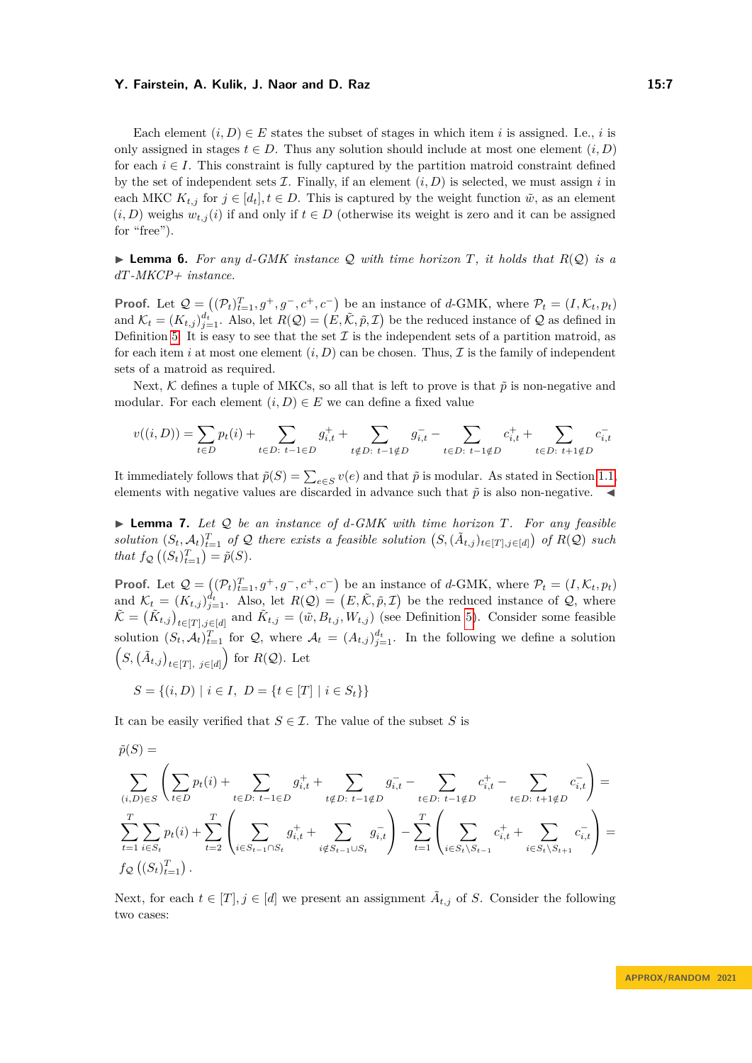Each element  $(i, D) \in E$  states the subset of stages in which item *i* is assigned. I.e., *i* is only assigned in stages  $t \in D$ . Thus any solution should include at most one element  $(i, D)$ for each  $i \in I$ . This constraint is fully captured by the partition matroid constraint defined by the set of independent sets  $\mathcal I$ . Finally, if an element  $(i, D)$  is selected, we must assign  $i$  in each MKC  $K_{t,j}$  for  $j \in [d_t], t \in D$ . This is captured by the weight function  $\tilde{w}$ , as an element  $(i, D)$  weighs  $w_{t,j}(i)$  if and only if  $t \in D$  (otherwise its weight is zero and it can be assigned for "free").

 $\blacktriangleright$  **Lemma 6.** For any d-GMK instance Q with time horizon T, it holds that  $R(Q)$  is a *dT-MKCP+ instance.*

**Proof.** Let  $\mathcal{Q} = ((\mathcal{P}_t)_{t=1}^T, g^+, g^-, c^+, c^-)$  be an instance of *d*-GMK, where  $\mathcal{P}_t = (I, \mathcal{K}_t, p_t)$ and  $\mathcal{K}_t = (K_{t,j})_{j=1}^{d_t}$ . Also, let  $R(\mathcal{Q}) = (E, \tilde{\mathcal{K}}, \tilde{p}, \mathcal{I})$  be the reduced instance of  $\mathcal Q$  as defined in Definition [5.](#page-5-3) It is easy to see that the set  $\mathcal I$  is the independent sets of a partition matroid, as for each item *i* at most one element  $(i, D)$  can be chosen. Thus,  $\mathcal I$  is the family of independent sets of a matroid as required.

Next, K defines a tuple of MKCs, so all that is left to prove is that  $\tilde{p}$  is non-negative and modular. For each element  $(i, D) \in E$  we can define a fixed value

$$
v((i, D)) = \sum_{t \in D} p_t(i) + \sum_{t \in D: t-1 \in D} g_{i,t}^+ + \sum_{t \notin D: t-1 \notin D} g_{i,t}^- - \sum_{t \in D: t-1 \notin D} c_{i,t}^+ + \sum_{t \in D: t+1 \notin D} c_{i,t}^-
$$

It immediately follows that  $\tilde{p}(S) = \sum_{e \in S} v(e)$  and that  $\tilde{p}$  is modular. As stated in Section [1.1,](#page-1-0) elements with negative values are discarded in advance such that  $\tilde{p}$  is also non-negative.

<span id="page-6-0"></span>▶ **Lemma 7.** *Let* Q *be an instance of d-GMK with time horizon T. For any feasible* solution  $(S_t, \mathcal{A}_t)_{t=1}^T$  of Q there exists a feasible solution  $(S, (\tilde{A}_{t,j})_{t \in [T], j \in [d]})$  of  $R(\mathcal{Q})$  such *that*  $f_{\mathcal{Q}}((S_t)_{t=1}^T) = \tilde{p}(S)$ *.* 

**Proof.** Let  $\mathcal{Q} = ((\mathcal{P}_t)_{t=1}^T, g^+, g^-, c^+, c^-)$  be an instance of *d*-GMK, where  $\mathcal{P}_t = (I, \mathcal{K}_t, p_t)$ and  $\mathcal{K}_t = (K_{t,j})_{j=1}^{d_t}$ . Also, let  $R(\mathcal{Q}) = (E, \tilde{\mathcal{K}}, \tilde{p}, \mathcal{I})$  be the reduced instance of  $\mathcal{Q}$ , where  $\tilde{\mathcal{K}} = (\tilde{K}_{t,j})_{t \in [T], j \in [d]}$  and  $\tilde{K}_{t,j} = (\tilde{w}, B_{t,j}, W_{t,j})$  (see Definition [5\)](#page-5-3). Consider some feasible solution  $(S_t, \mathcal{A}_t)_{t=1}^T$  for Q, where  $\mathcal{A}_t = (A_{t,j})_{j=1}^{d_t}$ . In the following we define a solution  $(S, (\tilde{A}_{t,j})_{t \in [T], j \in [d]})$  for *R*(*Q*). Let

$$
S = \{(i, D) \mid i \in I, \ D = \{t \in [T] \mid i \in S_t\}\}
$$

It can be easily verified that  $S \in \mathcal{I}$ . The value of the subset *S* is

$$
\tilde{p}(S) = \sum_{(i,D) \in S} \left( \sum_{t \in D} p_t(i) + \sum_{t \in D: t-1 \in D} g_{i,t}^+ + \sum_{t \notin D: t-1 \notin D} g_{i,t}^- - \sum_{t \in D: t-1 \notin D} c_{i,t}^+ - \sum_{t \in D: t+1 \notin D} c_{i,t}^- \right) = \sum_{t=1}^T \sum_{i \in S_t} p_t(i) + \sum_{t=2}^T \left( \sum_{i \in S_{t-1} \cap S_t} g_{i,t}^+ + \sum_{i \notin S_{t-1} \cup S_t} g_{i,t}^- \right) - \sum_{t=1}^T \left( \sum_{i \in S_t \setminus S_{t-1}} c_{i,t}^+ + \sum_{i \in S_t \setminus S_{t+1}} c_{i,t}^- \right) = \mathbf{f}_{\mathcal{Q}}\left( (S_t)_{t=1}^T \right).
$$

Next, for each  $t \in [T], j \in [d]$  we present an assignment  $\tilde{A}_{t,j}$  of *S*. Consider the following two cases: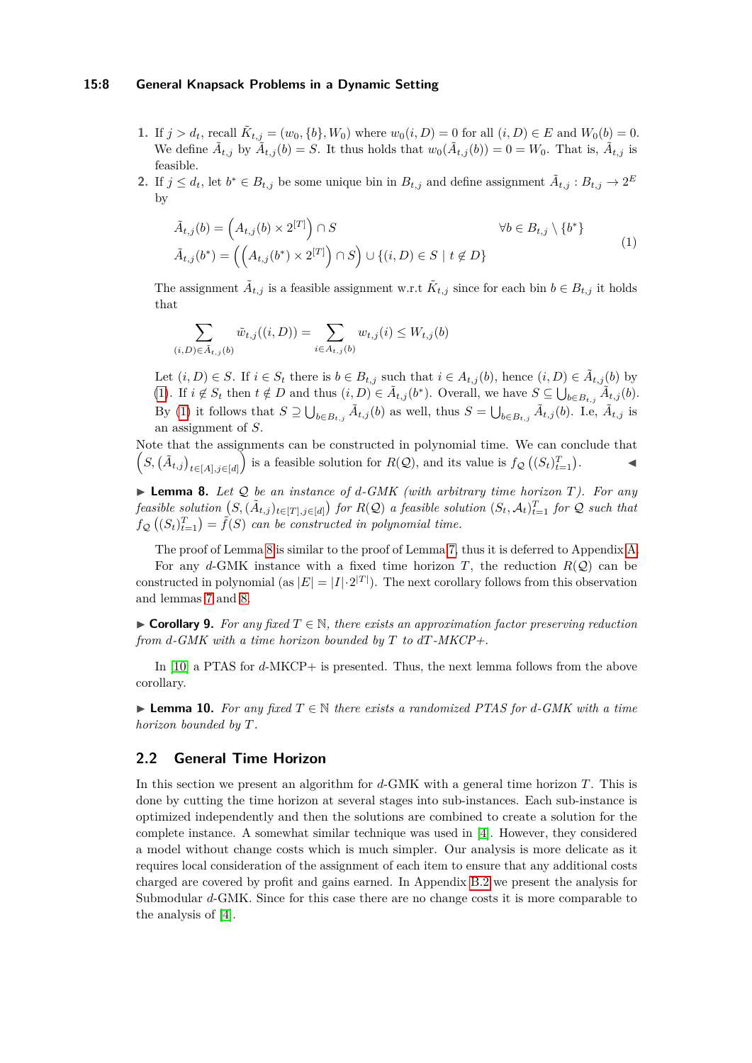#### **15:8 General Knapsack Problems in a Dynamic Setting**

- **1.** If  $j > d_t$ , recall  $\tilde{K}_{t,j} = (w_0, \{b\}, W_0)$  where  $w_0(i, D) = 0$  for all  $(i, D) \in E$  and  $W_0(b) = 0$ . We define  $\tilde{A}_{t,j}$  by  $\tilde{A}_{t,j}(b) = S$ . It thus holds that  $w_0(\tilde{A}_{t,j}(b)) = 0 = W_0$ . That is,  $\tilde{A}_{t,j}$  is feasible.
- **2.** If  $j \leq d_t$ , let  $b^* \in B_{t,j}$  be some unique bin in  $B_{t,j}$  and define assignment  $\tilde{A}_{t,j}: B_{t,j} \to 2^E$ by

<span id="page-7-1"></span>
$$
\tilde{A}_{t,j}(b) = \left(A_{t,j}(b) \times 2^{[T]}\right) \cap S \qquad \forall b \in B_{t,j} \setminus \{b^*\}\
$$
\n
$$
\tilde{A}_{t,j}(b^*) = \left(\left(A_{t,j}(b^*) \times 2^{[T]}\right) \cap S\right) \cup \{(i,D) \in S \mid t \notin D\}
$$
\n
$$
(1)
$$

The assignment  $\tilde{A}_{t,j}$  is a feasible assignment w.r.t  $\tilde{K}_{t,j}$  since for each bin  $b \in B_{t,j}$  it holds that

$$
\sum_{(i,D)\in\bar{A}_{t,j}(b)} \tilde{w}_{t,j}((i,D)) = \sum_{i\in A_{t,j}(b)} w_{t,j}(i) \le W_{t,j}(b)
$$

Let  $(i, D) \in S$ . If  $i \in S_t$  there is  $b \in B_{t,j}$  such that  $i \in A_{t,j}(b)$ , hence  $(i, D) \in \tilde{A}_{t,j}(b)$  by [\(1\)](#page-7-1). If  $i \notin S_t$  then  $t \notin D$  and thus  $(i, D) \in \tilde{A}_{t,j}(b^*)$ . Overall, we have  $S \subseteq \bigcup_{b \in B_{t,j}} \tilde{A}_{t,j}(b)$ . By [\(1\)](#page-7-1) it follows that  $S \supseteq \bigcup_{b \in B_{t,j}} \tilde{A}_{t,j}(b)$  as well, thus  $S = \bigcup_{b \in B_{t,j}} \tilde{A}_{t,j}(b)$ . I.e,  $\tilde{A}_{t,j}$  is an assignment of *S*.

Note that the assignments can be constructed in polynomial time. We can conclude that  $(S, (\tilde{A}_{t,j})_{t \in [A], j \in [d]}$  is a feasible solution for  $R(Q)$ , and its value is  $f_{\mathcal{Q}}((S_t)_{t=1}^T)$ . ◀

<span id="page-7-2"></span>▶ **Lemma 8.** *Let* Q *be an instance of d-GMK (with arbitrary time horizon T). For any* feasible solution  $(S,(\tilde{A}_{t,j})_{t\in[T],j\in[d]})$  for  $R(\mathcal{Q})$  a feasible solution  $(S_t,\mathcal{A}_t)_{t=1}^T$  for  $\mathcal Q$  such that  $f_{\mathcal{Q}}((S_t)_{t=1}^T) = \tilde{f}(S)$  *can be constructed in polynomial time.* 

The proof of Lemma [8](#page-7-2) is similar to the proof of Lemma [7,](#page-6-0) thus it is deferred to Appendix [A.](#page-18-0) For any *d*-GMK instance with a fixed time horizon *T*, the reduction  $R(Q)$  can be constructed in polynomial (as  $|E| = |I| \cdot 2^{|T|}$ ). The next corollary follows from this observation and lemmas [7](#page-6-0) and [8.](#page-7-2)

▶ **Corollary 9.** For any fixed  $T \in \mathbb{N}$ , there exists an approximation factor preserving reduction *from d-GMK with a time horizon bounded by T to dT-MKCP+.*

In [\[10\]](#page-16-8) a PTAS for *d*-MKCP+ is presented. Thus, the next lemma follows from the above corollary.

<span id="page-7-3"></span>▶ **Lemma 10.** *For any fixed T* ∈ N *there exists a randomized PTAS for d-GMK with a time horizon bounded by T.*

# <span id="page-7-0"></span>**2.2 General Time Horizon**

In this section we present an algorithm for *d*-GMK with a general time horizon *T*. This is done by cutting the time horizon at several stages into sub-instances. Each sub-instance is optimized independently and then the solutions are combined to create a solution for the complete instance. A somewhat similar technique was used in [\[4\]](#page-16-5). However, they considered a model without change costs which is much simpler. Our analysis is more delicate as it requires local consideration of the assignment of each item to ensure that any additional costs charged are covered by profit and gains earned. In Appendix [B.2](#page-23-0) we present the analysis for Submodular *d*-GMK. Since for this case there are no change costs it is more comparable to the analysis of [\[4\]](#page-16-5).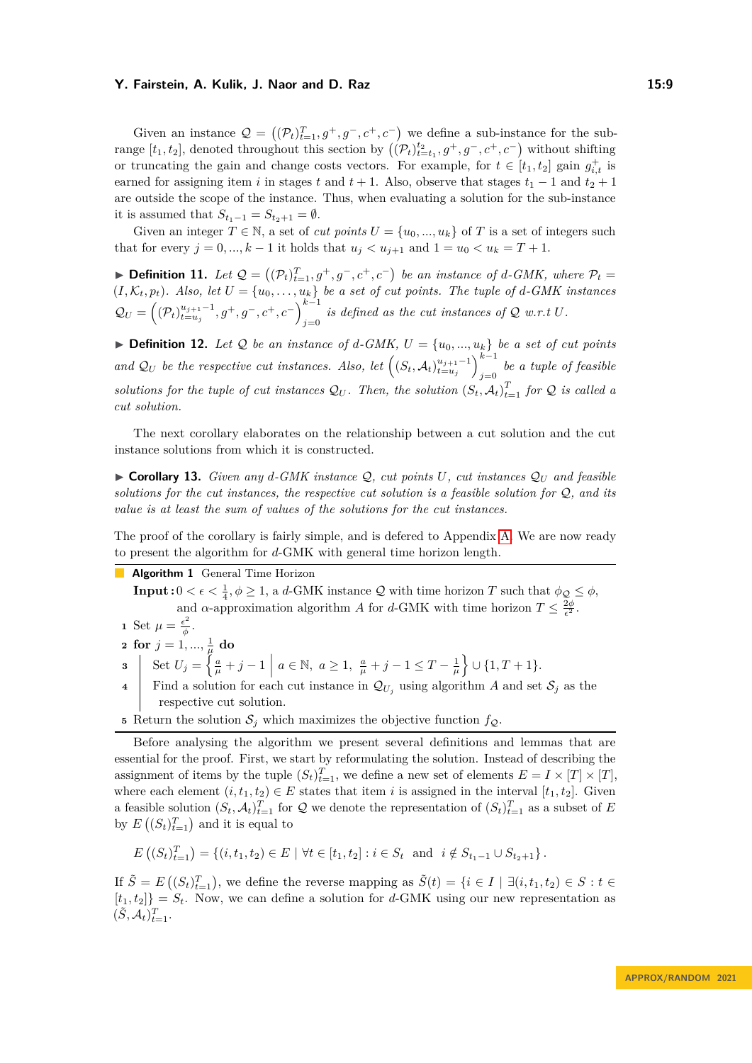Given an instance  $Q = ((P_t)_{t=1}^T, g^+, g^-, c^+, c^-)$  we define a sub-instance for the subrange  $[t_1, t_2]$ , denoted throughout this section by  $((\mathcal{P}_t)_{t=t_1}^{t_2}, g^+, g^-, c^+, c^-)$  without shifting or truncating the gain and change costs vectors. For example, for  $t \in [t_1, t_2]$  gain  $g_{i,t}^+$  is earned for assigning item *i* in stages *t* and  $t + 1$ . Also, observe that stages  $t_1 - 1$  and  $t_2 + 1$ are outside the scope of the instance. Thus, when evaluating a solution for the sub-instance it is assumed that  $S_{t_1-1} = S_{t_2+1} = \emptyset$ .

Given an integer  $T \in \mathbb{N}$ , a set of *cut points*  $U = \{u_0, ..., u_k\}$  of  $T$  is a set of integers such that for every  $j = 0, ..., k - 1$  it holds that  $u_j < u_{j+1}$  and  $1 = u_0 < u_k = T + 1$ .

▶ **Definition 11.** Let  $Q = ((P_t)_{t=1}^T, g^+, g^-, c^+, c^-)$  be an instance of *d*-GMK, where  $P_t =$  $(I, \mathcal{K}_t, p_t)$ . Also, let  $U = \{u_0, \ldots, u_k\}$  be a set of cut points. The tuple of *d*-GMK instances  $Q_U = \left( (\mathcal{P}_t)_{t=u_j}^{u_{j+1}-1}, g^+, g^-, c^+, c^- \right)_{i=0}^{k-1}$ *j*=0 *is defined as the cut instances of*  $Q$  *w.r.t*  $U$ *.* 

 $\blacktriangleright$  **Definition 12.** Let Q be an instance of d-GMK,  $U = \{u_0, ..., u_k\}$  be a set of cut points *and*  $\mathcal{Q}_U$  *be the respective cut instances. Also, let*  $\left( (S_t, \mathcal{A}_t)_{t=u_j}^{u_{j+1}-1} \right)_{i=0}^{k-1}$ *j*=0 *be a tuple of feasible solutions for the tuple of cut instances*  $Q_U$ . Then, the solution  $(S_t, A_t)_{t=1}^T$  for Q is called a *cut solution.*

The next corollary elaborates on the relationship between a cut solution and the cut instance solutions from which it is constructed.

<span id="page-8-1"></span> $\triangleright$  **Corollary 13.** *Given any d*-*GMK instance Q<sub></sub>, cut points U<sub></sub>, cut instances Q<sub>U</sub> and feasible solutions for the cut instances, the respective cut solution is a feasible solution for* Q*, and its value is at least the sum of values of the solutions for the cut instances.*

The proof of the corollary is fairly simple, and is defered to Appendix [A.](#page-18-0) We are now ready to present the algorithm for *d*-GMK with general time horizon length.

**Algorithm 1** General Time Horizon

**Input :**  $0 < \epsilon < \frac{1}{4}$ ,  $\phi \geq 1$ , a *d*-GMK instance Q with time horizon *T* such that  $\phi_{\mathcal{Q}} \leq \phi$ , and *α*-approximation algorithm *A* for *d*-GMK with time horizon  $T \leq \frac{2\phi}{\epsilon^2}$ .

- **1** Set  $\mu = \frac{\epsilon^2}{4}$ . *ϕ*
- ${\bf 2} \ \ {\bf for} \ \ j=1,...,\frac{1}{\mu} \ {\bf do}$
- **3** Set  $U_j = \left\{ \frac{a}{\mu} + j 1 \mid a \in \mathbb{N}, a \ge 1, \frac{a}{\mu} + j 1 \le T \frac{1}{\mu} \right\} \cup \{1, T + 1\}.$
- **4** Find a solution for each cut instance in  $\mathcal{Q}_{U_i}$  using algorithm *A* and set  $\mathcal{S}_i$  as the respective cut solution.
- <span id="page-8-0"></span>**5** Return the solution  $S_j$  which maximizes the objective function  $f_Q$ .

Before analysing the algorithm we present several definitions and lemmas that are essential for the proof. First, we start by reformulating the solution. Instead of describing the assignment of items by the tuple  $(S_t)_{t=1}^T$ , we define a new set of elements  $E = I \times [T] \times [T]$ , where each element  $(i, t_1, t_2) \in E$  states that item *i* is assigned in the interval  $[t_1, t_2]$ . Given a feasible solution  $(S_t, \mathcal{A}_t)_{t=1}^T$  for  $\mathcal{Q}$  we denote the representation of  $(S_t)_{t=1}^T$  as a subset of *E* by  $E\left( (S_t)_{t=1}^T \right)$  and it is equal to

$$
E\left((S_t)_{t=1}^T\right) = \left\{ (i, t_1, t_2) \in E \mid \forall t \in [t_1, t_2] : i \in S_t \text{ and } i \notin S_{t_1 - 1} \cup S_{t_2 + 1} \right\}.
$$

If  $\tilde{S} = E((S_t)_{t=1}^T)$ , we define the reverse mapping as  $\tilde{S}(t) = \{i \in I \mid \exists (i, t_1, t_2) \in S : t \in$  $[t_1, t_2]$  =  $S_t$ . Now, we can define a solution for *d*-GMK using our new representation as  $(\tilde{S}, \mathcal{A}_t)_{t=1}^T$ .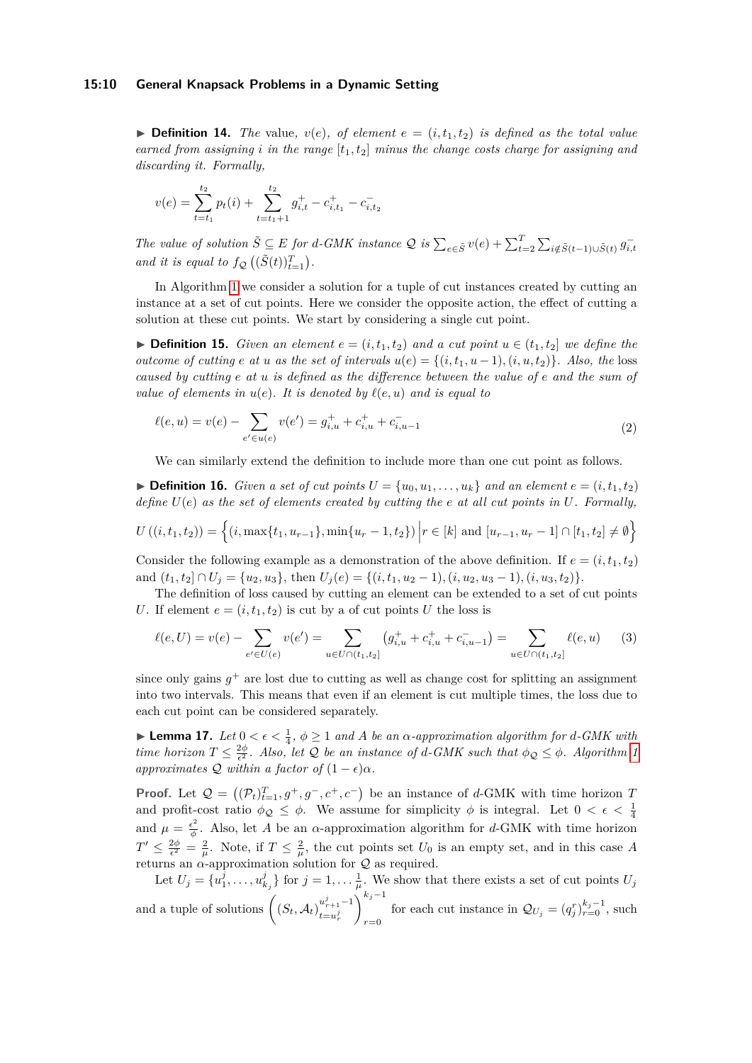#### **15:10 General Knapsack Problems in a Dynamic Setting**

 $\triangleright$  **Definition 14.** *The* value,  $v(e)$ *, of element*  $e = (i, t_1, t_2)$  *is defined as the total value earned from assigning i in the range*  $[t_1, t_2]$  *minus the change costs charge for assigning and discarding it. Formally,*

$$
v(e) = \sum_{t=t_1}^{t_2} p_t(i) + \sum_{t=t_1+1}^{t_2} g_{i,t}^+ - c_{i,t_1}^+ - c_{i,t_2}^-
$$

The value of solution  $\tilde{S} \subseteq E$  for d-GMK instance  $\mathcal{Q}$  is  $\sum_{e \in \tilde{S}} v(e) + \sum_{t=2}^{T} \sum_{i \notin \tilde{S}(t-1) \cup \tilde{S}(t)} g_{i,t}$ *and it is equal to*  $f_{\mathcal{Q}}((\tilde{S}(t))_{t=1}^T)$ .

In Algorithm [1](#page-8-0) we consider a solution for a tuple of cut instances created by cutting an instance at a set of cut points. Here we consider the opposite action, the effect of cutting a solution at these cut points. We start by considering a single cut point.

▶ **Definition 15.** *Given an element*  $e = (i, t_1, t_2)$  *and a cut point*  $u \in (t_1, t_2]$  *we define the outcome of cutting e at u as the set of intervals*  $u(e) = \{(i, t_1, u-1), (i, u, t_2)\}\$ . Also, the loss *caused by cutting e at u is defined as the difference between the value of e and the sum of value of elements in*  $u(e)$ *. It is denoted by*  $\ell(e, u)$  *and is equal to* 

<span id="page-9-1"></span>
$$
\ell(e, u) = v(e) - \sum_{e' \in u(e)} v(e') = g_{i, u}^+ + c_{i, u}^+ + c_{i, u-1}^- \tag{2}
$$

We can similarly extend the definition to include more than one cut point as follows.

 $\triangleright$  **Definition 16.** *Given a set of cut points*  $U = \{u_0, u_1, \ldots, u_k\}$  *and an element*  $e = (i, t_1, t_2)$ *define U*(*e*) *as the set of elements created by cutting the e at all cut points in U. Formally,*

$$
U((i, t_1, t_2)) = \left\{ (i, \max\{t_1, u_{r-1}\}, \min\{u_r - 1, t_2\}) \middle| r \in [k] \text{ and } [u_{r-1}, u_r - 1] \cap [t_1, t_2] \neq \emptyset \right\}
$$

Consider the following example as a demonstration of the above definition. If  $e = (i, t_1, t_2)$ and  $(t_1, t_2] \cap U_j = \{u_2, u_3\}$ , then  $U_j(e) = \{(i, t_1, u_2 - 1), (i, u_2, u_3 - 1), (i, u_3, t_2)\}.$ 

The definition of loss caused by cutting an element can be extended to a set of cut points *U*. If element  $e = (i, t_1, t_2)$  is cut by a of cut points *U* the loss is

<span id="page-9-0"></span>
$$
\ell(e, U) = v(e) - \sum_{e' \in U(e)} v(e') = \sum_{u \in U \cap (t_1, t_2]} (g_{i, u}^+ + c_{i, u}^+ + c_{i, u-1}^-) = \sum_{u \in U \cap (t_1, t_2]} \ell(e, u)
$$
(3)

since only gains  $g^+$  are lost due to cutting as well as change cost for splitting an assignment into two intervals. This means that even if an element is cut multiple times, the loss due to each cut point can be considered separately.

<span id="page-9-2"></span>▶ **Lemma 17.** *Let*  $0 < \epsilon < \frac{1}{4}$ ,  $\phi \ge 1$  *and A be an α-approximation algorithm for d-GMK with time horizon*  $T \leq \frac{2\phi}{\epsilon^2}$ *. Also, let* Q *be an instance of d-GMK such that*  $\phi_{\mathcal{Q}} \leq \phi$ *. Algorithm [1](#page-8-0) approximates*  $Q$  *within a factor of*  $(1 - \epsilon)\alpha$ *.* 

**Proof.** Let  $\mathcal{Q} = ((\mathcal{P}_t)_{t=1}^T, g^+, g^-, c^+, c^-)$  be an instance of *d*-GMK with time horizon *T* and profit-cost ratio  $\phi_{\mathcal{Q}} \leq \phi$ . We assume for simplicity  $\phi$  is integral. Let  $0 < \epsilon < \frac{1}{4}$ and  $\mu = \frac{\epsilon^2}{\phi}$  $\frac{\epsilon^2}{\phi}$ . Also, let *A* be an *α*-approximation algorithm for *d*-GMK with time horizon  $T' \leq \frac{2\phi}{\epsilon^2} = \frac{2}{\mu}$ . Note, if  $T \leq \frac{2}{\mu}$ , the cut points set  $U_0$  is an empty set, and in this case A returns an  $\alpha$ -approximation solution for  $Q$  as required.

Let  $U_j = \{u_1^j, \ldots, u_{k_j}^j\}$  for  $j = 1, \ldots, \frac{1}{\mu}$ . We show that there exists a set of cut points  $U_j$ and a tuple of solutions  $\left( (S_t, A_t)_{t-s}^{u_{r+1}^j-1} \right)$  $t = u_r^j$  $\bigwedge$ <sup>*kj*−1</sup> for each cut instance in  $\mathcal{Q}_{U_j} = (q_j^r)_{r=0}^{k_j-1}$ , such  $r=0$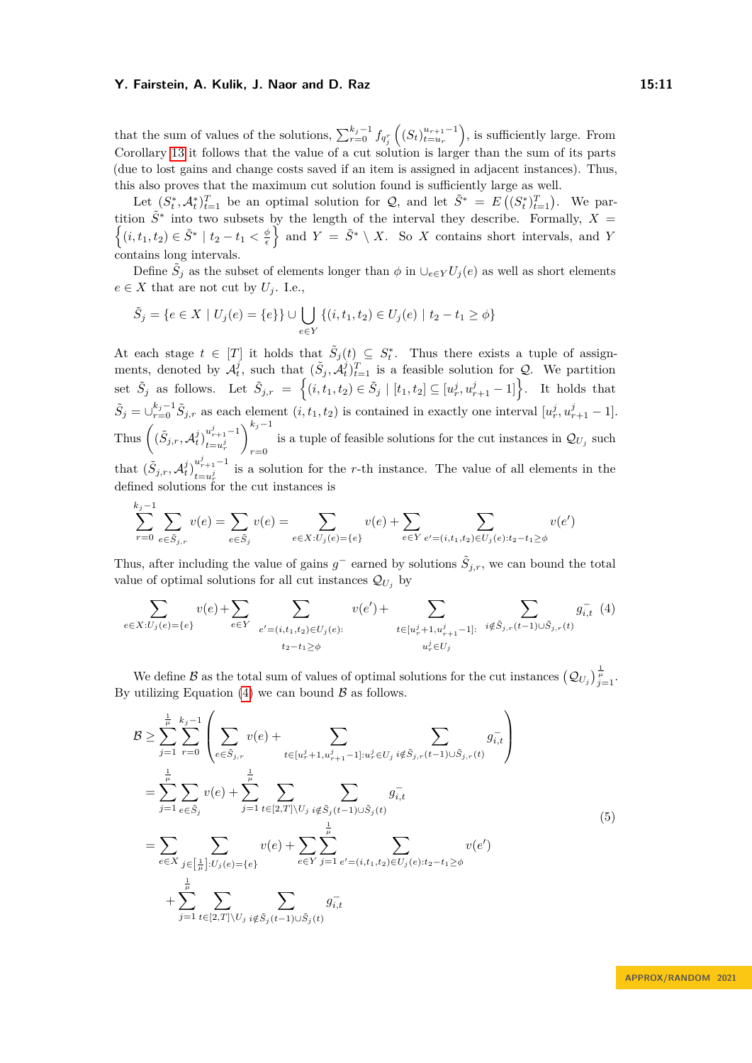that the sum of values of the solutions,  $\sum_{r=0}^{k_j-1} f_{q_j^r}((S_t)_{t=u_r}^{u_{r+1}-1})$ , is sufficiently large. From Corollary [13](#page-8-1) it follows that the value of a cut solution is larger than the sum of its parts (due to lost gains and change costs saved if an item is assigned in adjacent instances). Thus, this also proves that the maximum cut solution found is sufficiently large as well.

Let  $(S_t^*, \mathcal{A}_t^*)_{t=1}^T$  be an optimal solution for  $\mathcal{Q}$ , and let  $\tilde{S}^* = E((S_t^*)_{t=1}^T)$ . We partition  $\tilde{S}^*$  into two subsets by the length of the interval they describe. Formally,  $X =$  $\{(i, t_1, t_2) \in \tilde{S}^* \mid t_2 - t_1 < \frac{\phi}{\epsilon}\}\$ and  $Y = \tilde{S}^* \setminus X$ . So *X* contains short intervals, and *Y* contains long intervals.

Define  $\tilde{S}_j$  as the subset of elements longer than  $\phi$  in  $\cup_{e \in Y} U_j(e)$  as well as short elements  $e \in X$  that are not cut by  $U_j$ . I.e.,

$$
\tilde{S}_j = \{ e \in X \mid U_j(e) = \{ e \} \} \cup \bigcup_{e \in Y} \{ (i, t_1, t_2) \in U_j(e) \mid t_2 - t_1 \ge \phi \}
$$

At each stage  $t \in [T]$  it holds that  $\tilde{S}_j(t) \subseteq S_t^*$ . Thus there exists a tuple of assignments, denoted by  $\mathcal{A}_t^j$ , such that  $(\tilde{S}_j, \tilde{\mathcal{A}}_t^j)_{t=1}^T$  is a feasible solution for Q. We partition  $\tilde{S}_j$  as follows. Let  $\tilde{S}_{j,r} = \left\{ (i, t_1, t_2) \in \tilde{S}_j \mid [t_1, t_2] \subseteq [u_r^j, u_{r+1}^j - 1] \right\}$ . It holds that  $\tilde{S}_j = \bigcup_{r=0}^{k_j-1} \tilde{S}_{j,r}$  as each element  $(i, t_1, t_2)$  is contained in exactly one interval  $[u_r^j, u_{r+1}^j - 1]$ . Thus  $\left( (\tilde{S}_{j,r}, A_t^j)_{t=u^j}^{u^j_{r+1}-1} \right)$  $t = u_r^j$  $\bigwedge$ <sup>*kj*−1</sup> is a tuple of feasible solutions for the cut instances in  $\mathcal{Q}_{U_j}$  such  $r=0$ 

that  $(\tilde{S}_{j,r}, \mathcal{A}_t^j)_{t=u^j}^{u^j_{r+1}-1}$  $\frac{u_{r+1}}{t=u_r^j}$  is a solution for the *r*-th instance. The value of all elements in the defined solutions for the cut instances is

<span id="page-10-0"></span>
$$
\sum_{r=0}^{k_j-1} \sum_{e \in \tilde{S}_j,r} v(e) = \sum_{e \in \tilde{S}_j} v(e) = \sum_{e \in X: U_j(e) = \{e\}} v(e) + \sum_{e \in Y} \sum_{e' = (i,t_1,t_2) \in U_j(e): t_2 - t_1 \ge \phi} v(e')
$$

Thus, after including the value of gains  $g^-$  earned by solutions  $\tilde{S}_{j,r}$ , we can bound the total value of optimal solutions for all cut instances  $\mathcal{Q}_{U_i}$  by

$$
\sum_{e \in X: U_j(e) = \{e\}} v(e) + \sum_{e \in Y} \sum_{e' = (i, t_1, t_2) \in U_j(e):} v(e') + \sum_{t \in [u_r^j + 1, u_{r+1}^j - 1]:} \sum_{i \notin \tilde{S}_j, r(t-1) \cup \tilde{S}_j, r(t)} g_{i, t}^{-}(4)
$$

We define  $\mathcal{B}$  as the total sum of values of optimal solutions for the cut instances  $(Q_{U_j})_{\substack{j=1 \ j=1}}^{\frac{n}{\mu}}$ . By utilizing Equation  $(4)$  we can bound  $\beta$  as follows.

<span id="page-10-1"></span>
$$
\mathcal{B} \geq \sum_{j=1}^{\frac{1}{\mu}} \sum_{r=0}^{k_j-1} \left( \sum_{e \in \tilde{S}_{j,r}} v(e) + \sum_{t \in [u_r^j+1, u_{r+1}^j-1]: u_r^j \in U_j} \sum_{i \notin \tilde{S}_{j,r}(t-1) \cup \tilde{S}_{j,r}(t)} g_{i,t}^- \right)
$$
  
\n
$$
= \sum_{j=1}^{\frac{1}{\mu}} \sum_{e \in \tilde{S}_j} v(e) + \sum_{j=1}^{\frac{1}{\mu}} \sum_{t \in [2,T] \setminus U_j} \sum_{i \notin \tilde{S}_j(t-1) \cup \tilde{S}_j(t)} g_{i,t}^-
$$
  
\n
$$
= \sum_{e \in X} \sum_{j \in [\frac{1}{\mu}]: U_j(e) = \{e\}} v(e) + \sum_{e \in Y} \sum_{j=1}^{\frac{1}{\mu}} \sum_{e' = (i, t_1, t_2) \in U_j(e): t_2 - t_1 \geq \phi} v(e')
$$
  
\n
$$
+ \sum_{j=1}^{\frac{1}{\mu}} \sum_{t \in [2,T] \setminus U_j} \sum_{i \notin \tilde{S}_j(t-1) \cup \tilde{S}_j(t)} g_{i,t}^-
$$
  
\n(5)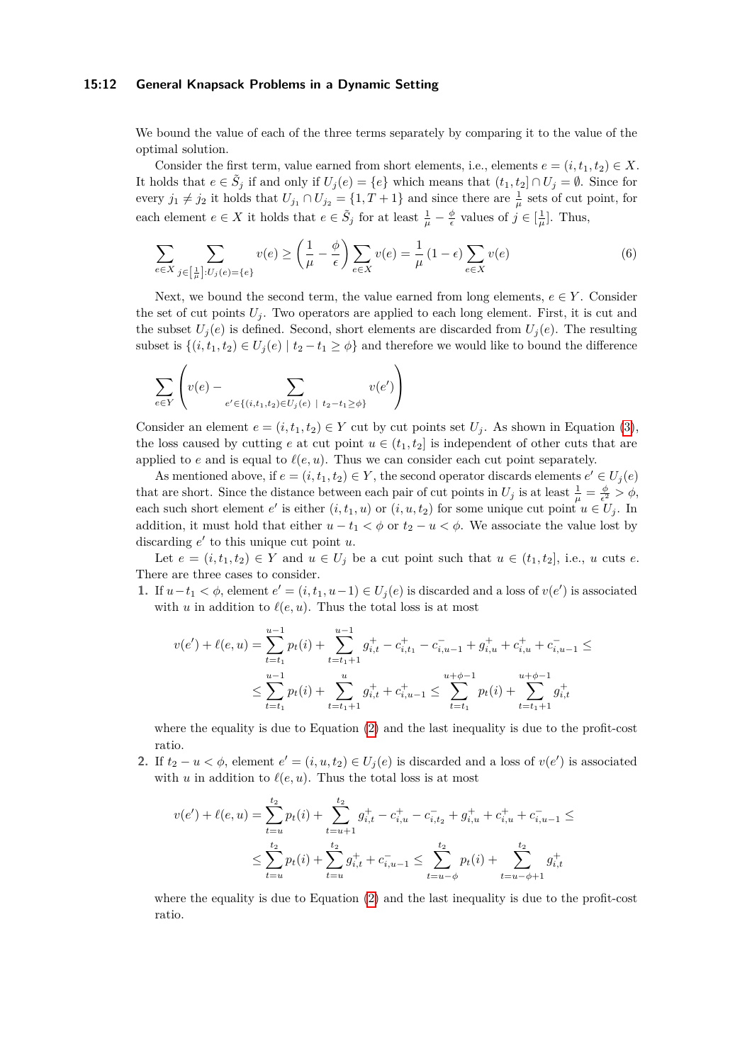#### **15:12 General Knapsack Problems in a Dynamic Setting**

We bound the value of each of the three terms separately by comparing it to the value of the optimal solution.

Consider the first term, value earned from short elements, i.e., elements  $e = (i, t_1, t_2) \in X$ . It holds that  $e \in \tilde{S}_j$  if and only if  $U_j(e) = \{e\}$  which means that  $(t_1, t_2] \cap U_j = \emptyset$ . Since for every  $j_1 \neq j_2$  it holds that  $U_{j_1} \cap U_{j_2} = \{1, T + 1\}$  and since there are  $\frac{1}{\mu}$  sets of cut point, for each element  $e \in X$  it holds that  $e \in \tilde{S}_j$  for at least  $\frac{1}{\mu} - \frac{\phi}{\epsilon}$  values of  $j \in [\frac{1}{\mu}]$ . Thus,

<span id="page-11-0"></span>
$$
\sum_{e \in X} \sum_{j \in \left[\frac{1}{\mu}\right] : U_j(e) = \{e\}} v(e) \ge \left(\frac{1}{\mu} - \frac{\phi}{\epsilon}\right) \sum_{e \in X} v(e) = \frac{1}{\mu} (1 - \epsilon) \sum_{e \in X} v(e) \tag{6}
$$

Next, we bound the second term, the value earned from long elements,  $e \in Y$ . Consider the set of cut points  $U_j$ . Two operators are applied to each long element. First, it is cut and the subset  $U_i(e)$  is defined. Second, short elements are discarded from  $U_i(e)$ . The resulting subset is  $\{(i, t_1, t_2) \in U_j(e) \mid t_2 - t_1 \geq \phi\}$  and therefore we would like to bound the difference

$$
\sum_{e \in Y} \left( v(e) - \sum_{e' \in \{(i,t_1,t_2) \in U_j(e) \mid t_2 - t_1 \ge \phi\}} v(e') \right)
$$

Consider an element  $e = (i, t_1, t_2) \in Y$  cut by cut points set  $U_i$ . As shown in Equation [\(3\)](#page-9-0), the loss caused by cutting *e* at cut point  $u \in (t_1, t_2]$  is independent of other cuts that are applied to  $e$  and is equal to  $\ell(e, u)$ . Thus we can consider each cut point separately.

As mentioned above, if  $e = (i, t_1, t_2) \in Y$ , the second operator discards elements  $e' \in U_j(e)$ that are short. Since the distance between each pair of cut points in  $U_j$  is at least  $\frac{1}{\mu} = \frac{\phi}{\epsilon^2} > \phi$ , each such short element  $e'$  is either  $(i, t_1, u)$  or  $(i, u, t_2)$  for some unique cut point  $u \in U_j$ . In addition, it must hold that either  $u - t_1 < \phi$  or  $t_2 - u < \phi$ . We associate the value lost by discarding  $e'$  to this unique cut point *u*.

Let  $e = (i, t_1, t_2) \in Y$  and  $u \in U_j$  be a cut point such that  $u \in (t_1, t_2]$ , i.e.,  $u$  cuts  $e$ . There are three cases to consider.

**1.** If  $u$ −*t*<sub>1</sub>  $\lt \phi$ , element  $e' = (i, t_1, u-1) \in U_j(e)$  is discarded and a loss of  $v(e')$  is associated with *u* in addition to  $\ell(e, u)$ . Thus the total loss is at most

$$
v(e') + \ell(e, u) = \sum_{t=t_1}^{u-1} p_t(i) + \sum_{t=t_1+1}^{u-1} g_{i,t}^+ - c_{i,t_1}^- - c_{i,u-1}^- + g_{i,u}^+ + c_{i,u}^+ + c_{i,u-1}^- \le
$$
  

$$
\le \sum_{t=t_1}^{u-1} p_t(i) + \sum_{t=t_1+1}^{u} g_{i,t}^+ + c_{i,u-1}^+ \le \sum_{t=t_1}^{u+\phi-1} p_t(i) + \sum_{t=t_1+1}^{u+\phi-1} g_{i,t}^+
$$

where the equality is due to Equation [\(2\)](#page-9-1) and the last inequality is due to the profit-cost ratio.

**2.** If  $t_2 - u < \phi$ , element  $e' = (i, u, t_2) \in U_j(e)$  is discarded and a loss of  $v(e')$  is associated with *u* in addition to  $\ell(e, u)$ . Thus the total loss is at most

$$
v(e') + \ell(e, u) = \sum_{t=u}^{t_2} p_t(i) + \sum_{t=u+1}^{t_2} g_{i,t}^+ - c_{i,u}^- + c_{i,t_2}^- + g_{i,u}^+ + c_{i,u}^+ + c_{i,u-1}^- \le
$$
  

$$
\le \sum_{t=u}^{t_2} p_t(i) + \sum_{t=u}^{t_2} g_{i,t}^+ + c_{i,u-1}^- \le \sum_{t=u-\phi}^{t_2} p_t(i) + \sum_{t=u-\phi+1}^{t_2} g_{i,t}^+
$$

where the equality is due to Equation [\(2\)](#page-9-1) and the last inequality is due to the profit-cost ratio.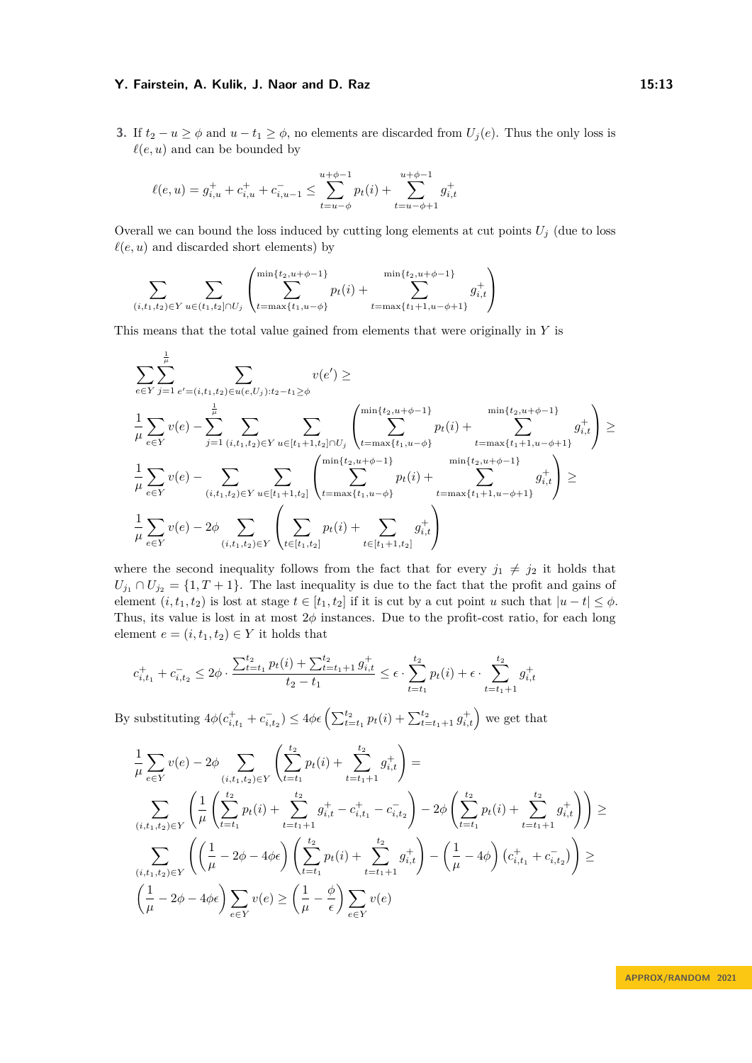**3.** If  $t_2 - u \ge \phi$  and  $u - t_1 \ge \phi$ , no elements are discarded from  $U_i(e)$ . Thus the only loss is  $\ell(e, u)$  and can be bounded by

$$
\ell(e, u) = g_{i,u}^+ + c_{i,u}^+ + c_{i,u-1}^- \le \sum_{t=u-\phi}^{u+\phi-1} p_t(i) + \sum_{t=u-\phi+1}^{u+\phi-1} g_{i,t}^+
$$

Overall we can bound the loss induced by cutting long elements at cut points  $U_j$  (due to loss  $\ell(e, u)$  and discarded short elements) by

$$
\sum_{(i,t_1,t_2)\in Y} \sum_{u\in (t_1,t_2]\cap U_j} \left( \sum_{t=\max\{t_1,u-\phi\}}^{\min\{t_2,u+\phi-1\}} p_t(i) + \sum_{t=\max\{t_1+1,u-\phi+1\}}^{\min\{t_2,u+\phi-1\}} g^+_{i,t} \right)
$$

This means that the total value gained from elements that were originally in *Y* is

$$
\sum_{e \in Y} \sum_{j=1}^{\frac{1}{\mu}} \sum_{e'=(i,t_1,t_2) \in u(e,U_j):t_2-t_1 \geq \phi} v(e') \geq
$$
\n
$$
\frac{1}{\mu} \sum_{e \in Y} v(e) - \sum_{j=1}^{\frac{1}{\mu}} \sum_{(i,t_1,t_2) \in Y} \sum_{u \in [t_1+1,t_2] \cap U_j} \left( \sum_{t=\max\{t_1,u-\phi\}}^{\min\{t_2,u+\phi-1\}} p_t(i) + \sum_{t=\max\{t_1+1,u-\phi+1\}}^{\min\{t_2,u+\phi-1\}} g_{i,t}^+\right) \geq
$$
\n
$$
\frac{1}{\mu} \sum_{e \in Y} v(e) - \sum_{(i,t_1,t_2) \in Y} \sum_{u \in [t_1+1,t_2]} \left( \sum_{t=\max\{t_1,u-\phi\}}^{\min\{t_2,u+\phi-1\}} p_t(i) + \sum_{t=\max\{t_1+1,u-\phi+1\}}^{\min\{t_2,u+\phi-1\}} g_{i,t}^+\right) \geq
$$
\n
$$
\frac{1}{\mu} \sum_{e \in Y} v(e) - 2\phi \sum_{(i,t_1,t_2) \in Y} \left( \sum_{t \in [t_1,t_2]} p_t(i) + \sum_{t \in [t_1+1,t_2]} g_{i,t}^+\right)
$$

where the second inequality follows from the fact that for every  $j_1 \neq j_2$  it holds that  $U_{j_1} \cap U_{j_2} = \{1, T + 1\}.$  The last inequality is due to the fact that the profit and gains of element  $(i, t_1, t_2)$  is lost at stage  $t \in [t_1, t_2]$  if it is cut by a cut point *u* such that  $|u - t| \leq \phi$ . Thus, its value is lost in at most 2*ϕ* instances. Due to the profit-cost ratio, for each long element  $e = (i, t_1, t_2) \in Y$  it holds that

$$
c_{i,t_1}^+ + c_{i,t_2}^- \le 2\phi \cdot \frac{\sum_{t=t_1}^{t_2} p_t(i) + \sum_{t=t_1+1}^{t_2} g_{i,t}^+}{t_2 - t_1} \le \epsilon \cdot \sum_{t=t_1}^{t_2} p_t(i) + \epsilon \cdot \sum_{t=t_1+1}^{t_2} g_{i,t}^+
$$

By substituting  $4\phi(c_{i,t_1}^+ + c_{i,t_2}^-) \le 4\phi\epsilon \left( \sum_{t=t_1}^{t_2} p_t(i) + \sum_{t=t_1+1}^{t_2} g_{i,t}^+\right)$  we get that

$$
\frac{1}{\mu} \sum_{e \in Y} v(e) - 2\phi \sum_{(i, t_1, t_2) \in Y} \left( \sum_{t=t_1}^{t_2} p_t(i) + \sum_{t=t_1+1}^{t_2} g_{i, t}^+ \right) =
$$
\n
$$
\sum_{(i, t_1, t_2) \in Y} \left( \frac{1}{\mu} \left( \sum_{t=t_1}^{t_2} p_t(i) + \sum_{t=t_1+1}^{t_2} g_{i, t}^+ - c_{i, t_1}^+ - c_{i, t_2}^- \right) - 2\phi \left( \sum_{t=t_1}^{t_2} p_t(i) + \sum_{t=t_1+1}^{t_2} g_{i, t}^+ \right) \right) \ge
$$
\n
$$
\sum_{(i, t_1, t_2) \in Y} \left( \left( \frac{1}{\mu} - 2\phi - 4\phi\epsilon \right) \left( \sum_{t=t_1}^{t_2} p_t(i) + \sum_{t=t_1+1}^{t_2} g_{i, t}^+ \right) - \left( \frac{1}{\mu} - 4\phi \right) \left( c_{i, t_1}^+ + c_{i, t_2}^- \right) \right) \ge
$$
\n
$$
\left( \frac{1}{\mu} - 2\phi - 4\phi\epsilon \right) \sum_{e \in Y} v(e) \ge \left( \frac{1}{\mu} - \frac{\phi}{\epsilon} \right) \sum_{e \in Y} v(e)
$$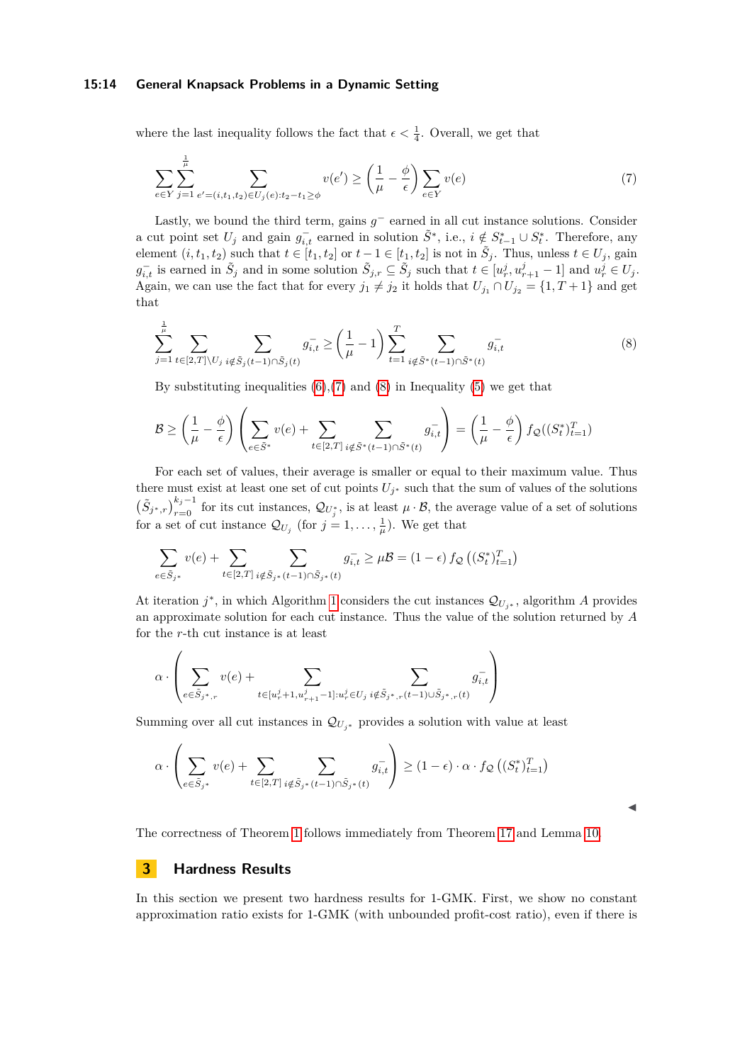#### **15:14 General Knapsack Problems in a Dynamic Setting**

where the last inequality follows the fact that  $\epsilon < \frac{1}{4}$ . Overall, we get that

<span id="page-13-1"></span>
$$
\sum_{e \in Y} \sum_{j=1}^{\frac{1}{\mu}} \sum_{e' = (i, t_1, t_2) \in U_j(e): t_2 - t_1 \ge \phi} v(e') \ge \left(\frac{1}{\mu} - \frac{\phi}{\epsilon}\right) \sum_{e \in Y} v(e) \tag{7}
$$

Lastly, we bound the third term, gains  $g^-$  earned in all cut instance solutions. Consider a cut point set  $U_j$  and gain  $g_{i,t}^-$  earned in solution  $\tilde{S}^*$ , i.e.,  $i \notin S_{t-1}^* \cup S_t^*$ . Therefore, any element  $(i, t_1, t_2)$  such that  $t \in [t_1, t_2]$  or  $t - 1 \in [t_1, t_2]$  is not in  $\tilde{S}_j$ . Thus, unless  $t \in U_j$ , gain  $g_{i,t}^-$  is earned in  $\tilde{S}_j$  and in some solution  $\tilde{S}_{j,r} \subseteq \tilde{S}_j$  such that  $t \in [u_r^j, u_{r+1}^j - 1]$  and  $u_r^j \in U_j$ . Again, we can use the fact that for every  $j_1 \neq j_2$  it holds that  $U_{j_1} \cap U_{j_2} = \{1, T + 1\}$  and get that

<span id="page-13-2"></span>
$$
\sum_{j=1}^{\frac{1}{\mu}} \sum_{t \in [2,T] \setminus U_j} \sum_{i \notin \tilde{S}_j(t-1) \cap \tilde{S}_j(t)} g_{i,t}^- \ge \left(\frac{1}{\mu} - 1\right) \sum_{t=1}^T \sum_{i \notin \tilde{S}^*(t-1) \cap \tilde{S}^*(t)} g_{i,t}^- \tag{8}
$$

By substituting inequalities  $(6)$ ,  $(7)$  and  $(8)$  in Inequality  $(5)$  we get that

$$
\mathcal{B} \ge \left(\frac{1}{\mu} - \frac{\phi}{\epsilon}\right) \left(\sum_{e \in \tilde{S}^*} v(e) + \sum_{t \in [2,T]} \sum_{i \notin \tilde{S}^*(t-1) \cap \tilde{S}^*(t)} g_{i,t}^- \right) = \left(\frac{1}{\mu} - \frac{\phi}{\epsilon}\right) f_{\mathcal{Q}}((S_t^*)_{t=1}^T)
$$

For each set of values, their average is smaller or equal to their maximum value. Thus there must exist at least one set of cut points  $U_j^*$  such that the sum of values of the solutions  $(\tilde{S}_{j^*,r})_{r=0}^{k_j-1}$  for its cut instances,  $\mathcal{Q}_{U_j^*}$ , is at least  $\mu \cdot \mathcal{B}$ , the average value of a set of solutions for a set of cut instance  $\mathcal{Q}_{U_j}$  (for  $j = 1, \ldots, \frac{1}{\mu}$ ). We get that

$$
\sum_{e \in \tilde{S}_{j^*}} v(e) + \sum_{t \in [2,T]} \sum_{i \notin \tilde{S}_{j^*}(t-1) \cap \tilde{S}_{j^*}(t)} g_{i,t}^- \geq \mu \mathcal{B} = (1-\epsilon) \, f_{\mathcal{Q}} \left( (S_t^*)^T_{t=1} \right)
$$

At iteration  $j^*$ , in which Algorithm [1](#page-8-0) considers the cut instances  $\mathcal{Q}_{U_{j^*}}$ , algorithm *A* provides an approximate solution for each cut instance. Thus the value of the solution returned by *A* for the *r*-th cut instance is at least

$$
\alpha \cdot \left( \sum_{e \in \tilde{S}_{j^*,r}} v(e) + \sum_{t \in [u_r^j + 1, u_{r+1}^j - 1]: u_r^j \in U_j} \sum_{i \notin \tilde{S}_{j^*,r}(t-1) \cup \tilde{S}_{j^*,r}(t)} g_{i,t}^- \right)
$$

Summing over all cut instances in  $\mathcal{Q}_{U_{j^*}}$  provides a solution with value at least

$$
\alpha \cdot \left( \sum_{e \in \tilde{S}_{j^*}} v(e) + \sum_{t \in [2,T]} \sum_{i \notin \tilde{S}_{j^*}(t-1) \cap \tilde{S}_{j^*}(t)} g_{i,t}^{-} \right) \ge (1 - \epsilon) \cdot \alpha \cdot f_{\mathcal{Q}} \left( (S_t^*)_{t=1}^T \right)
$$

The correctness of Theorem [1](#page-3-1) follows immediately from Theorem [17](#page-9-2) and Lemma [10.](#page-7-3)

### <span id="page-13-0"></span>**3 Hardness Results**

In this section we present two hardness results for 1-GMK. First, we show no constant approximation ratio exists for 1-GMK (with unbounded profit-cost ratio), even if there is

◀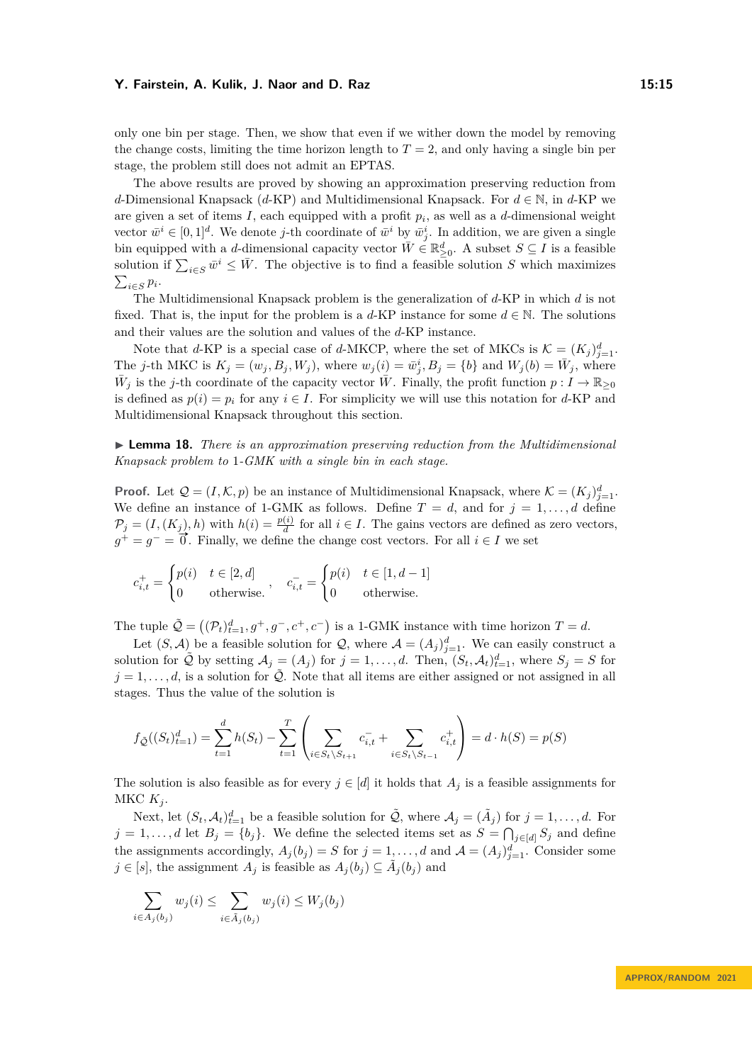only one bin per stage. Then, we show that even if we wither down the model by removing the change costs, limiting the time horizon length to  $T = 2$ , and only having a single bin per stage, the problem still does not admit an EPTAS.

The above results are proved by showing an approximation preserving reduction from *d*-Dimensional Knapsack (*d*-KP) and Multidimensional Knapsack. For *d* ∈ N, in *d*-KP we are given a set of items *I*, each equipped with a profit *p<sup>i</sup>* , as well as a *d*-dimensional weight vector  $\bar{w}^i \in [0,1]^d$ . We denote *j*-th coordinate of  $\bar{w}^i$  by  $\bar{w}^i_j$ . In addition, we are given a single bin equipped with a *d*-dimensional capacity vector  $\overline{W} \in \mathbb{R}^d_{\geq 0}$ . A subset  $S \subseteq I$  is a feasible solution if  $\sum_{i \in S} \bar{w}^i \leq \bar{W}$ . The objective is to find a feasible solution *S* which maximizes  $\sum_{i \in S} p_i$ .

The Multidimensional Knapsack problem is the generalization of *d*-KP in which *d* is not fixed. That is, the input for the problem is a  $d$ -KP instance for some  $d \in \mathbb{N}$ . The solutions and their values are the solution and values of the *d*-KP instance.

Note that *d*-KP is a special case of *d*-MKCP, where the set of MKCs is  $K = (K_j)_{j=1}^d$ . The j-th MKC is  $K_j = (w_j, B_j, W_j)$ , where  $w_j(i) = \bar{w}_j^i$ ,  $B_j = \{b\}$  and  $W_j(b) = \bar{W}_j$ , where  $\bar{W}_j$  is the *j*-th coordinate of the capacity vector  $\bar{W}$ . Finally, the profit function  $p: I \to \mathbb{R}_{\geq 0}$ is defined as  $p(i) = p_i$  for any  $i \in I$ . For simplicity we will use this notation for *d*-KP and Multidimensional Knapsack throughout this section.

<span id="page-14-0"></span>▶ **Lemma 18.** *There is an approximation preserving reduction from the Multidimensional Knapsack problem to* 1*-GMK with a single bin in each stage.*

**Proof.** Let  $\mathcal{Q} = (I, \mathcal{K}, p)$  be an instance of Multidimensional Knapsack, where  $\mathcal{K} = (K_j)_{j=1}^d$ . We define an instance of 1-GMK as follows. Define  $T = d$ , and for  $j = 1, \ldots, d$  define  $\mathcal{P}_j = (I,(K_j),h)$  with  $h(i) = \frac{p(i)}{d}$  for all  $i \in I$ . The gains vectors are defined as zero vectors,  $g^+ = g^- = \overline{0}$ . Finally, we define the change cost vectors. For all *i* ∈ *I* we set

$$
c_{i,t}^+ = \begin{cases} p(i) & t \in [2,d] \\ 0 & \text{otherwise.} \end{cases}, \quad c_{i,t}^- = \begin{cases} p(i) & t \in [1,d-1] \\ 0 & \text{otherwise.} \end{cases}
$$

The tuple  $\tilde{Q} = ((\mathcal{P}_t)_{t=1}^d, g^+, g^-, c^+, c^-)$  is a 1-GMK instance with time horizon  $T = d$ .

Let  $(S, \mathcal{A})$  be a feasible solution for  $\mathcal{Q}$ , where  $\mathcal{A} = (A_j)_{j=1}^d$ . We can easily construct a solution for  $\tilde{Q}$  by setting  $A_j = (A_j)$  for  $j = 1, ..., d$ . Then,  $(S_t, A_t)_{t=1}^d$ , where  $S_j = S$  for  $j = 1, \ldots, d$ , is a solution for  $\tilde{Q}$ . Note that all items are either assigned or not assigned in all stages. Thus the value of the solution is

$$
f_{\tilde{\mathcal{Q}}}((S_t)_{t=1}^d) = \sum_{t=1}^d h(S_t) - \sum_{t=1}^T \left( \sum_{i \in S_t \setminus S_{t+1}} c_{i,t}^- + \sum_{i \in S_t \setminus S_{t-1}} c_{i,t}^+ \right) = d \cdot h(S) = p(S)
$$

The solution is also feasible as for every  $j \in [d]$  it holds that  $A_j$  is a feasible assignments for MKC  $K_j$ .

Next, let  $(S_t, \mathcal{A}_t)_{t=1}^d$  be a feasible solution for  $\tilde{\mathcal{Q}}$ , where  $\mathcal{A}_j = (\tilde{A}_j)$  for  $j = 1, \ldots, d$ . For  $j = 1, \ldots, d$  let  $B_j = \{b_j\}$ . We define the selected items set as  $S = \bigcap_{j \in [d]} S_j$  and define the assignments accordingly,  $A_j(b_j) = S$  for  $j = 1, ..., d$  and  $\mathcal{A} = (A_j)_{j=1}^d$ . Consider some *j* ∈ [*s*], the assignment  $A_j$  is feasible as  $A_j(b_j)$  ⊆  $\tilde{A}_j(b_j)$  and

$$
\sum_{i \in A_j(b_j)} w_j(i) \le \sum_{i \in \tilde{A}_j(b_j)} w_j(i) \le W_j(b_j)
$$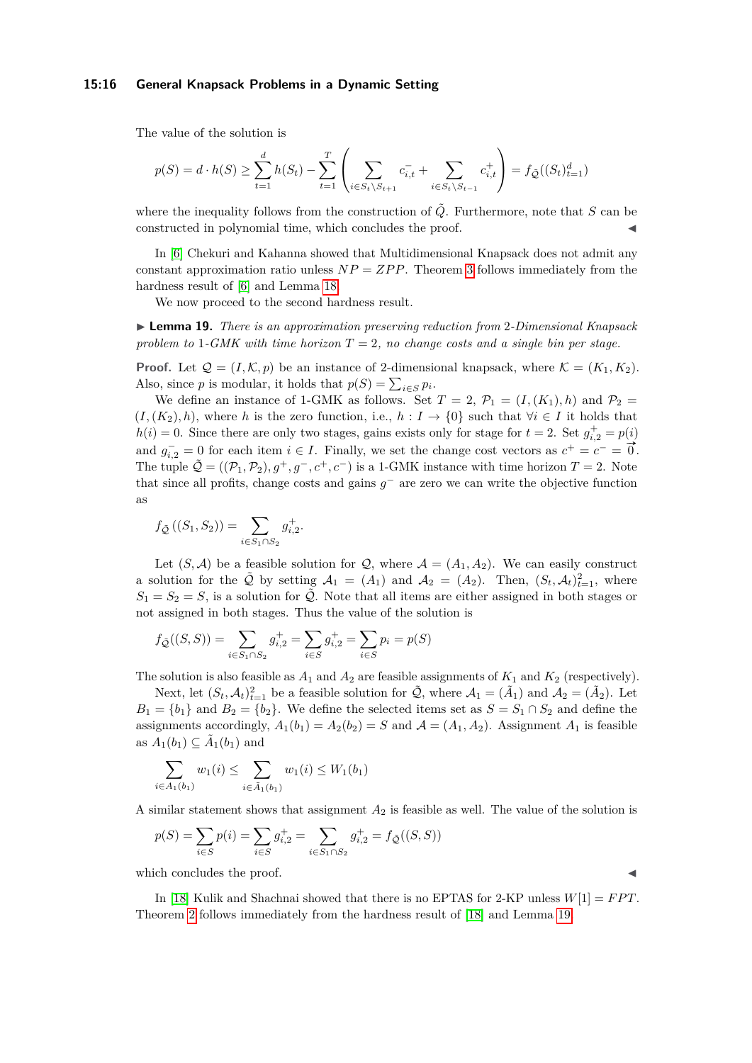#### **15:16 General Knapsack Problems in a Dynamic Setting**

The value of the solution is

$$
p(S) = d \cdot h(S) \ge \sum_{t=1}^{d} h(S_t) - \sum_{t=1}^{T} \left( \sum_{i \in S_t \setminus S_{t+1}} c_{i,t}^- + \sum_{i \in S_t \setminus S_{t-1}} c_{i,t}^+ \right) = f_{\tilde{\mathcal{Q}}}((S_t)_{t=1}^d)
$$

where the inequality follows from the construction of  $\tilde{Q}$ . Furthermore, note that *S* can be constructed in polynomial time, which concludes the proof.

In [\[6\]](#page-16-17) Chekuri and Kahanna showed that Multidimensional Knapsack does not admit any constant approximation ratio unless *NP* = *ZP P*. Theorem [3](#page-4-1) follows immediately from the hardness result of [\[6\]](#page-16-17) and Lemma [18.](#page-14-0)

We now proceed to the second hardness result.

<span id="page-15-0"></span>▶ **Lemma 19.** *There is an approximation preserving reduction from* 2*-Dimensional Knapsack problem to* 1*-GMK with time horizon*  $T = 2$ *, no change costs and a single bin per stage.* 

**Proof.** Let  $Q = (I, \mathcal{K}, p)$  be an instance of 2-dimensional knapsack, where  $\mathcal{K} = (K_1, K_2)$ . Also, since *p* is modular, it holds that  $p(S) = \sum_{i \in S} p_i$ .

We define an instance of 1-GMK as follows. Set  $T = 2$ ,  $\mathcal{P}_1 = (I,(K_1),h)$  and  $\mathcal{P}_2 =$  $(I, (K_2), h)$ , where *h* is the zero function, i.e.,  $h: I \to \{0\}$  such that  $\forall i \in I$  it holds that  $h(i) = 0$ . Since there are only two stages, gains exists only for stage for  $t = 2$ . Set  $g_{i,2}^+ = p(i)$ and  $g_{i,2}^- = 0$  for each item  $i \in I$ . Finally, we set the change cost vectors as  $c^+ = c^- = \vec{0}$ . The tuple  $\tilde{Q} = ((\mathcal{P}_1, \mathcal{P}_2), g^+, g^-, c^+, c^-)$  is a 1-GMK instance with time horizon  $T = 2$ . Note that since all profits, change costs and gains  $g^-$  are zero we can write the objective function as

$$
f_{\tilde{Q}}((S_1, S_2)) = \sum_{i \in S_1 \cap S_2} g_{i,2}^+.
$$

Let  $(S, \mathcal{A})$  be a feasible solution for  $\mathcal{Q}$ , where  $\mathcal{A} = (A_1, A_2)$ . We can easily construct a solution for the  $\tilde{Q}$  by setting  $A_1 = (A_1)$  and  $A_2 = (A_2)$ . Then,  $(S_t, A_t)_{t=1}^2$ , where  $S_1 = S_2 = S$ , is a solution for  $\tilde{Q}$ . Note that all items are either assigned in both stages or not assigned in both stages. Thus the value of the solution is

$$
f_{\tilde{\mathcal{Q}}}((S, S)) = \sum_{i \in S_1 \cap S_2} g_{i,2}^+ = \sum_{i \in S} g_{i,2}^+ = \sum_{i \in S} p_i = p(S)
$$

The solution is also feasible as  $A_1$  and  $A_2$  are feasible assignments of  $K_1$  and  $K_2$  (respectively).

Next, let  $(S_t, \mathcal{A}_t)_{t=1}^2$  be a feasible solution for  $\tilde{\mathcal{Q}}$ , where  $\mathcal{A}_1 = (\tilde{A}_1)$  and  $\mathcal{A}_2 = (\tilde{A}_2)$ . Let  $B_1 = \{b_1\}$  and  $B_2 = \{b_2\}$ . We define the selected items set as  $S = S_1 \cap S_2$  and define the assignments accordingly,  $A_1(b_1) = A_2(b_2) = S$  and  $A = (A_1, A_2)$ . Assignment  $A_1$  is feasible as  $A_1(b_1) \subseteq \tilde{A}_1(b_1)$  and

$$
\sum_{i \in A_1(b_1)} w_1(i) \le \sum_{i \in \tilde{A}_1(b_1)} w_1(i) \le W_1(b_1)
$$

A similar statement shows that assignment *A*<sup>2</sup> is feasible as well. The value of the solution is

$$
p(S) = \sum_{i \in S} p(i) = \sum_{i \in S} g_{i,2}^+ = \sum_{i \in S_1 \cap S_2} g_{i,2}^+ = f_{\tilde{\mathcal{Q}}}((S, S))
$$

which concludes the proof.

In [\[18\]](#page-16-18) Kulik and Shachnai showed that there is no EPTAS for 2-KP unless  $W[1] = FPT$ . Theorem [2](#page-4-0) follows immediately from the hardness result of [\[18\]](#page-16-18) and Lemma [19.](#page-15-0)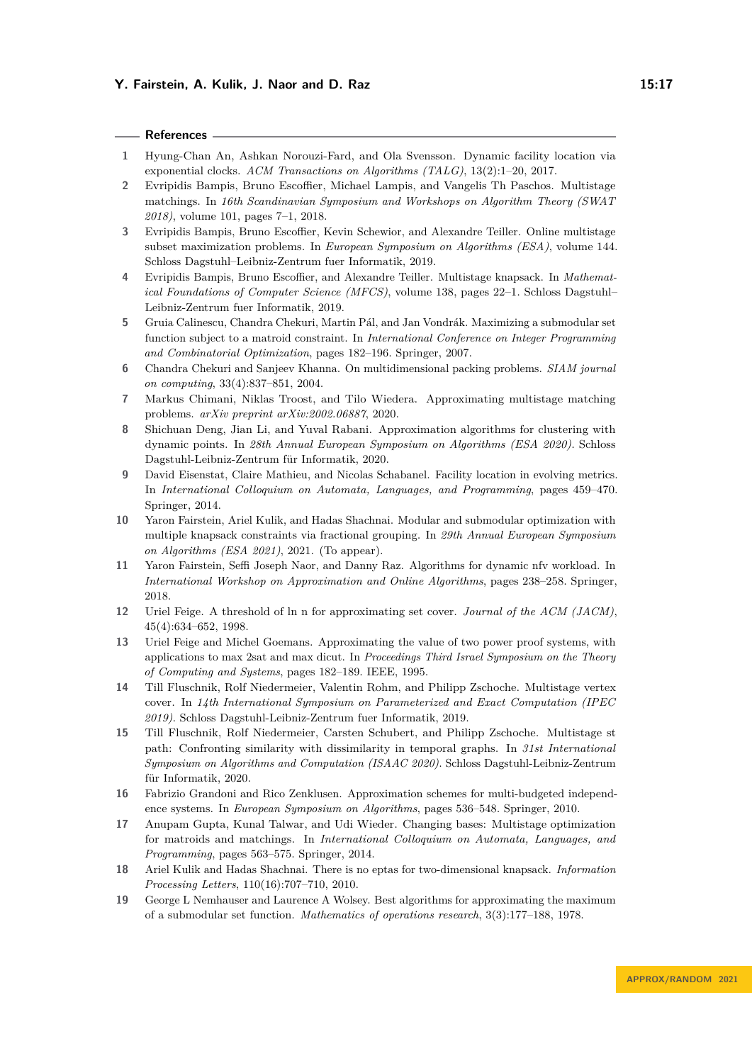#### **References**

- <span id="page-16-2"></span>**1** Hyung-Chan An, Ashkan Norouzi-Fard, and Ola Svensson. Dynamic facility location via exponential clocks. *ACM Transactions on Algorithms (TALG)*, 13(2):1–20, 2017.
- <span id="page-16-4"></span>**2** Evripidis Bampis, Bruno Escoffier, Michael Lampis, and Vangelis Th Paschos. Multistage matchings. In *16th Scandinavian Symposium and Workshops on Algorithm Theory (SWAT 2018)*, volume 101, pages 7–1, 2018.
- <span id="page-16-15"></span>**3** Evripidis Bampis, Bruno Escoffier, Kevin Schewior, and Alexandre Teiller. Online multistage subset maximization problems. In *European Symposium on Algorithms (ESA)*, volume 144. Schloss Dagstuhl–Leibniz-Zentrum fuer Informatik, 2019.
- <span id="page-16-5"></span>**4** Evripidis Bampis, Bruno Escoffier, and Alexandre Teiller. Multistage knapsack. In *Mathematical Foundations of Computer Science (MFCS)*, volume 138, pages 22–1. Schloss Dagstuhl– Leibniz-Zentrum fuer Informatik, 2019.
- <span id="page-16-10"></span>**5** Gruia Calinescu, Chandra Chekuri, Martin Pál, and Jan Vondrák. Maximizing a submodular set function subject to a matroid constraint. In *International Conference on Integer Programming and Combinatorial Optimization*, pages 182–196. Springer, 2007.
- <span id="page-16-17"></span>**6** Chandra Chekuri and Sanjeev Khanna. On multidimensional packing problems. *SIAM journal on computing*, 33(4):837–851, 2004.
- <span id="page-16-14"></span>**7** Markus Chimani, Niklas Troost, and Tilo Wiedera. Approximating multistage matching problems. *arXiv preprint arXiv:2002.06887*, 2020.
- <span id="page-16-7"></span>**8** Shichuan Deng, Jian Li, and Yuval Rabani. Approximation algorithms for clustering with dynamic points. In *28th Annual European Symposium on Algorithms (ESA 2020)*. Schloss Dagstuhl-Leibniz-Zentrum für Informatik, 2020.
- <span id="page-16-1"></span>**9** David Eisenstat, Claire Mathieu, and Nicolas Schabanel. Facility location in evolving metrics. In *International Colloquium on Automata, Languages, and Programming*, pages 459–470. Springer, 2014.
- <span id="page-16-8"></span>**10** Yaron Fairstein, Ariel Kulik, and Hadas Shachnai. Modular and submodular optimization with multiple knapsack constraints via fractional grouping. In *29th Annual European Symposium on Algorithms (ESA 2021)*, 2021. (To appear).
- <span id="page-16-3"></span>**11** Yaron Fairstein, Seffi Joseph Naor, and Danny Raz. Algorithms for dynamic nfv workload. In *International Workshop on Approximation and Online Algorithms*, pages 238–258. Springer, 2018.
- <span id="page-16-9"></span>**12** Uriel Feige. A threshold of ln n for approximating set cover. *Journal of the ACM (JACM)*, 45(4):634–652, 1998.
- <span id="page-16-11"></span>**13** Uriel Feige and Michel Goemans. Approximating the value of two power proof systems, with applications to max 2sat and max dicut. In *Proceedings Third Israel Symposium on the Theory of Computing and Systems*, pages 182–189. IEEE, 1995.
- <span id="page-16-6"></span>**14** Till Fluschnik, Rolf Niedermeier, Valentin Rohm, and Philipp Zschoche. Multistage vertex cover. In *14th International Symposium on Parameterized and Exact Computation (IPEC 2019)*. Schloss Dagstuhl-Leibniz-Zentrum fuer Informatik, 2019.
- <span id="page-16-16"></span>**15** Till Fluschnik, Rolf Niedermeier, Carsten Schubert, and Philipp Zschoche. Multistage st path: Confronting similarity with dissimilarity in temporal graphs. In *31st International Symposium on Algorithms and Computation (ISAAC 2020)*. Schloss Dagstuhl-Leibniz-Zentrum für Informatik, 2020.
- <span id="page-16-12"></span>**16** Fabrizio Grandoni and Rico Zenklusen. Approximation schemes for multi-budgeted independence systems. In *European Symposium on Algorithms*, pages 536–548. Springer, 2010.
- <span id="page-16-0"></span>**17** Anupam Gupta, Kunal Talwar, and Udi Wieder. Changing bases: Multistage optimization for matroids and matchings. In *International Colloquium on Automata, Languages, and Programming*, pages 563–575. Springer, 2014.
- <span id="page-16-18"></span>**18** Ariel Kulik and Hadas Shachnai. There is no eptas for two-dimensional knapsack. *Information Processing Letters*, 110(16):707–710, 2010.
- <span id="page-16-13"></span>**19** George L Nemhauser and Laurence A Wolsey. Best algorithms for approximating the maximum of a submodular set function. *Mathematics of operations research*, 3(3):177–188, 1978.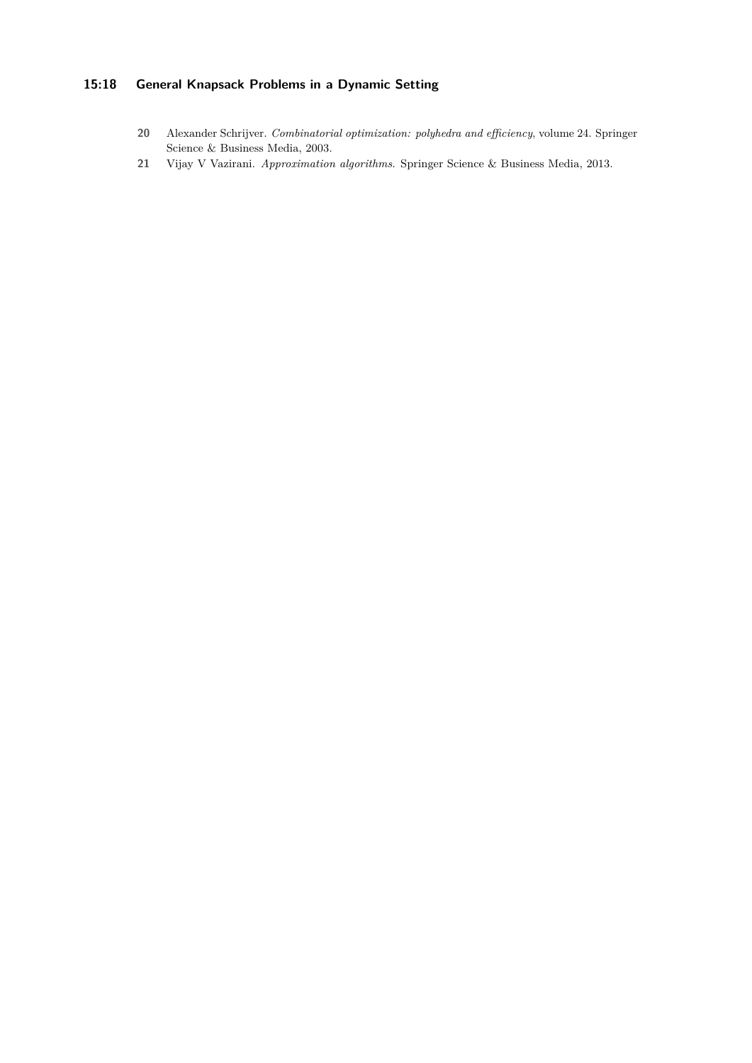# **15:18 General Knapsack Problems in a Dynamic Setting**

- <span id="page-17-1"></span>**20** Alexander Schrijver. *Combinatorial optimization: polyhedra and efficiency*, volume 24. Springer Science & Business Media, 2003.
- <span id="page-17-0"></span>**21** Vijay V Vazirani. *Approximation algorithms*. Springer Science & Business Media, 2013.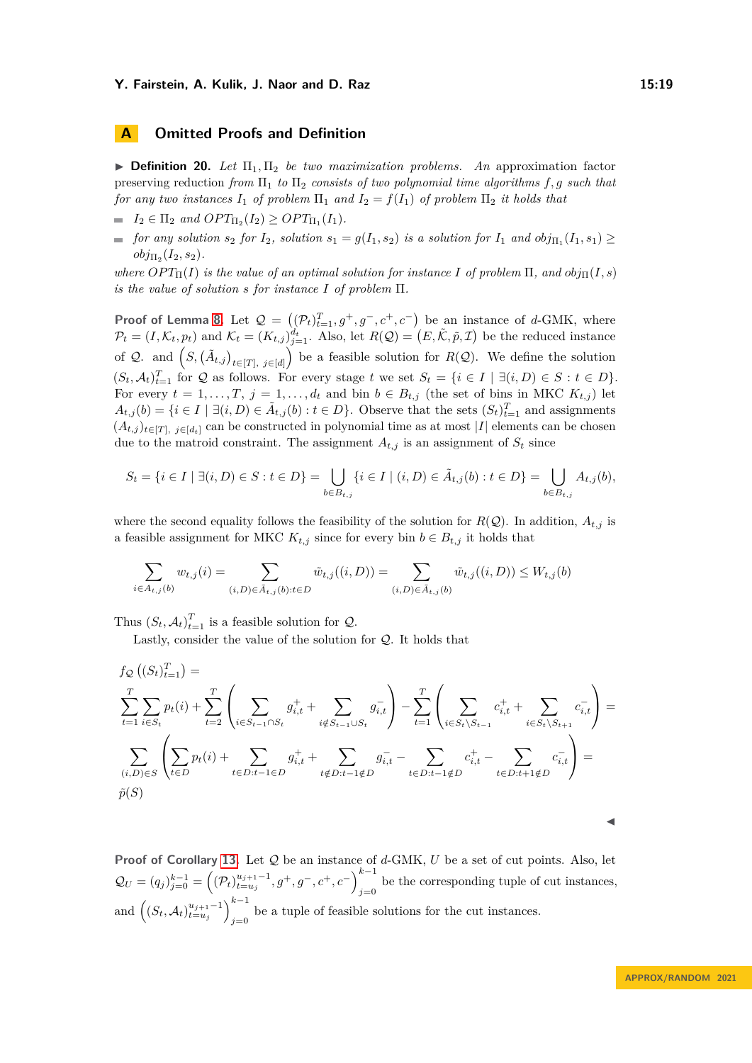# <span id="page-18-0"></span>**A Omitted Proofs and Definition**

<span id="page-18-1"></span> $\triangleright$  **Definition 20.** Let  $\Pi_1, \Pi_2$  be two maximization problems. An approximation factor preserving reduction *from*  $\Pi_1$  *to*  $\Pi_2$  *consists of two polynomial time algorithms*  $f, g$  *such that for any two instances*  $I_1$  *of problem*  $\Pi_1$  *and*  $I_2 = f(I_1)$  *of problem*  $\Pi_2$  *it holds that* 

 $I_2 \in \Pi_2$  *and*  $OPT_{\Pi_2}(I_2) \geq OPT_{\Pi_1}(I_1)$ *.* 

*for any solution*  $s_2$  *for*  $I_2$ *, solution*  $s_1 = g(I_1, s_2)$  *is a solution for*  $I_1$  *and*  $obj_{\Pi_1}(I_1, s_1) \ge$  $obj_{\Pi_2}(I_2, s_2)$ .

*where*  $OPT_{{\Pi}}(I)$  *is the value of an optimal solution for instance I of problem*  ${\Pi}$ *, and*  $obj_{{\Pi}}(I, s)$ *is the value of solution s for instance I of problem* Π*.*

**Proof of Lemma [8.](#page-7-2)** Let  $\mathcal{Q} = ((\mathcal{P}_t)_{t=1}^T, g^+, g^-, c^+, c^-)$  be an instance of *d*-GMK, where  $\mathcal{P}_t = (I, \mathcal{K}_t, p_t)$  and  $\mathcal{K}_t = (K_{t,j})_{j=1}^{\tilde{d}_t}$ . Also, let  $R(\mathcal{Q}) = (E, \tilde{\mathcal{K}}, \tilde{p}, \mathcal{I})$  be the reduced instance of Q. and  $(S, (\tilde{A}_{t,j})_{t \in [T], j \in [d]})$  be a feasible solution for  $R(\mathcal{Q})$ . We define the solution  $(S_t, \mathcal{A}_t)_{t=1}^T$  for  $\mathcal{Q}$  as follows. For every stage  $t$  we set  $S_t = \{i \in I \mid \exists (i, D) \in S : t \in D\}.$ For every  $t = 1, \ldots, T, j = 1, \ldots, d_t$  and bin  $b \in B_{t,j}$  (the set of bins in MKC  $K_{t,j}$ ) let  $A_{t,j}(b) = \{i \in I \mid \exists (i, D) \in \tilde{A}_{t,j}(b) : t \in D\}$ . Observe that the sets  $(S_t)_{t=1}^T$  and assignments  $(A_{t,j})_{t\in[T], j\in[d_t]}$  can be constructed in polynomial time as at most |*I*| elements can be chosen due to the matroid constraint. The assignment  $A_{t,j}$  is an assignment of  $S_t$  since

$$
S_t = \{i \in I \mid \exists (i, D) \in S : t \in D\} = \bigcup_{b \in B_{t,j}} \{i \in I \mid (i, D) \in \tilde{A}_{t,j}(b) : t \in D\} = \bigcup_{b \in B_{t,j}} A_{t,j}(b),
$$

where the second equality follows the feasibility of the solution for  $R(Q)$ . In addition,  $A_{t,j}$  is a feasible assignment for MKC  $K_{t,j}$  since for every bin  $b \in B_{t,j}$  it holds that

$$
\sum_{i \in A_{t,j}(b)} w_{t,j}(i) = \sum_{(i,D) \in \tilde{A}_{t,j}(b): t \in D} \tilde{w}_{t,j}((i,D)) = \sum_{(i,D) \in \tilde{A}_{t,j}(b)} \tilde{w}_{t,j}((i,D)) \le W_{t,j}(b)
$$

Thus  $(S_t, \mathcal{A}_t)_{t=1}^T$  is a feasible solution for  $\mathcal{Q}$ .

Lastly, consider the value of the solution for Q. It holds that

$$
f_{\mathcal{Q}}\left((S_{t})_{t=1}^{T}\right) = \sum_{t=1}^{T} \sum_{i \in S_{t}} p_{t}(i) + \sum_{t=2}^{T} \left(\sum_{i \in S_{t-1} \cap S_{t}} g_{i,t}^{+} + \sum_{i \notin S_{t-1} \cup S_{t}} g_{i,t}^{-}\right) - \sum_{t=1}^{T} \left(\sum_{i \in S_{t} \setminus S_{t-1}} c_{i,t}^{+} + \sum_{i \in S_{t} \setminus S_{t+1}} c_{i,t}^{-}\right) = \sum_{(i,D) \in S} \left(\sum_{t \in D} p_{t}(i) + \sum_{t \in D:t-1 \in D} g_{i,t}^{+} + \sum_{t \notin D:t-1 \notin D} g_{i,t}^{-} - \sum_{t \in D:t-1 \notin D} c_{i,t}^{+} - \sum_{t \in D:t+1 \notin D} c_{i,t}^{-}\right) = \tilde{p}(S)
$$

**Proof of Corollary [13.](#page-8-1)** Let Q be an instance of *d*-GMK, *U* be a set of cut points. Also, let  $\mathcal{Q}_U = (q_j)_{j=0}^{k-1} = \left( (\mathcal{P}_t)_{t=u_j}^{u_{j+1}-1}, g^+, g^-, c^+, c^- \right)_{i=0}^{k-1}$ be the corresponding tuple of cut instances,  $j=0$ and  $\left( (S_t, A_t)_{t=u_j}^{u_{j+1}-1} \right)_{i=0}^{k-1}$ be a tuple of feasible solutions for the cut instances.<br> $j=0$ 

◀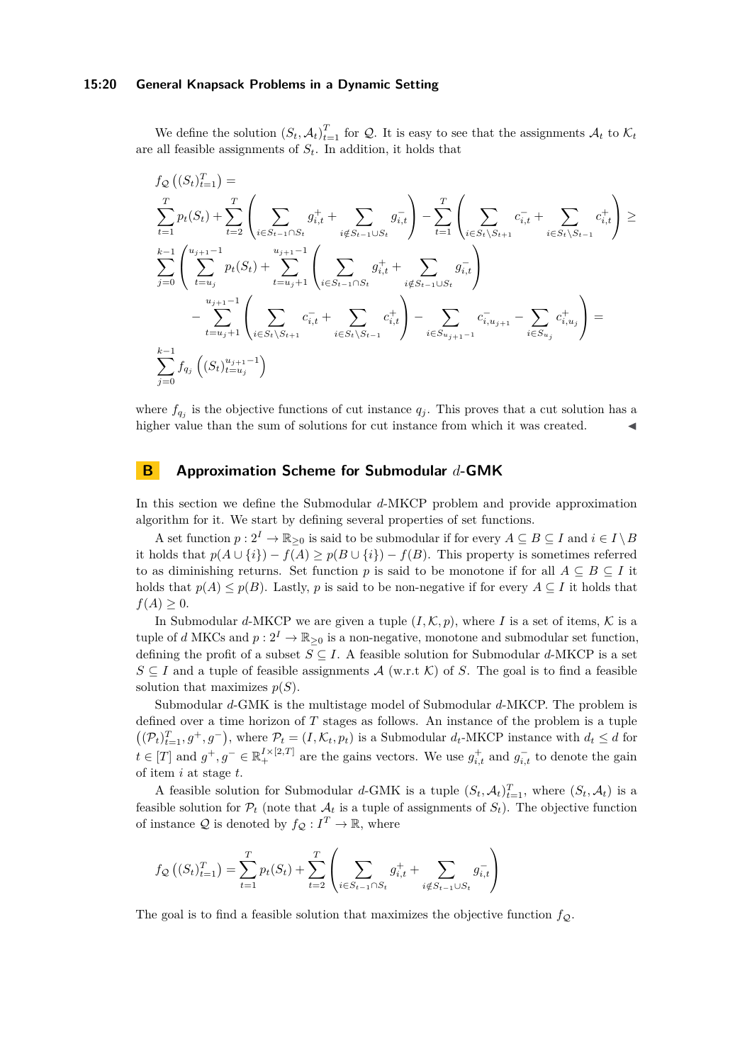#### **15:20 General Knapsack Problems in a Dynamic Setting**

We define the solution  $(S_t, A_t)_{t=1}^T$  for Q. It is easy to see that the assignments  $A_t$  to  $K_t$ are all feasible assignments of *St*. In addition, it holds that

$$
f_{\mathcal{Q}}\left((S_{t})_{t=1}^{T}\right) = \sum_{t=1}^{T} p_{t}(S_{t}) + \sum_{t=2}^{T} \left(\sum_{i \in S_{t-1} \cap S_{t}} g_{i,t}^{+} + \sum_{i \notin S_{t-1} \cup S_{t}} g_{i,t}^{-}\right) - \sum_{t=1}^{T} \left(\sum_{i \in S_{t} \setminus S_{t+1}} c_{i,t}^{-} + \sum_{i \in S_{t} \setminus S_{t-1}} c_{i,t}^{+}\right) \geq \sum_{s=1}^{k-1} \left(\sum_{t=u_{j}}^{u_{j+1}-1} p_{t}(S_{t}) + \sum_{t=u_{j}+1}^{u_{j+1}-1} \left(\sum_{i \in S_{t-1} \cap S_{t}} g_{i,t}^{+} + \sum_{i \notin S_{t-1} \cup S_{t}} g_{i,t}^{-}\right) - \sum_{t=u_{j}+1}^{u_{j+1}-1} \left(\sum_{i \in S_{t} \setminus S_{t+1}} c_{i,t}^{-} + \sum_{i \in S_{t} \setminus S_{t-1}} c_{i,t}^{+}\right) - \sum_{i \in S_{u_{j}+1}-1}^{u_{i+1}-1} c_{i,u_{j+1}}^{-} - \sum_{i \in S_{u_{j}}} c_{i,u_{j}}^{+}\right) = \sum_{j=0}^{k-1} f_{q_{j}}\left((S_{t})_{t=u_{j}}^{u_{j+1}-1}\right)
$$

where  $f_{q_j}$  is the objective functions of cut instance  $q_j$ . This proves that a cut solution has a higher value than the sum of solutions for cut instance from which it was created.  $\blacksquare$ 

# <span id="page-19-0"></span>**B Approximation Scheme for Submodular** *d***-GMK**

In this section we define the Submodular *d*-MKCP problem and provide approximation algorithm for it. We start by defining several properties of set functions.

A set function  $p: 2^I \to \mathbb{R}_{\geq 0}$  is said to be submodular if for every  $A \subseteq B \subseteq I$  and  $i \in I \setminus B$ it holds that  $p(A \cup \{i\}) - f(A) \geq p(B \cup \{i\}) - f(B)$ . This property is sometimes referred to as diminishing returns. Set function *p* is said to be monotone if for all  $A \subseteq B \subseteq I$  it holds that  $p(A) \leq p(B)$ . Lastly, *p* is said to be non-negative if for every  $A \subseteq I$  it holds that  $f(A) \geq 0$ .

In Submodular *d*-MKCP we are given a tuple  $(I, \mathcal{K}, p)$ , where *I* is a set of items,  $\mathcal{K}$  is a tuple of *d* MKCs and  $p: 2^I \to \mathbb{R}_{\geq 0}$  is a non-negative, monotone and submodular set function, defining the profit of a subset  $S \subseteq I$ . A feasible solution for Submodular *d*-MKCP is a set  $S \subseteq I$  and a tuple of feasible assignments  $\mathcal{A}$  (w.r.t K) of *S*. The goal is to find a feasible solution that maximizes  $p(S)$ .

Submodular *d*-GMK is the multistage model of Submodular *d*-MKCP. The problem is defined over a time horizon of *T* stages as follows. An instance of the problem is a tuple  $((\mathcal{P}_t)_{t=1}^T, g^+, g^-)$ , where  $\mathcal{P}_t = (I, \mathcal{K}_t, p_t)$  is a Submodular  $d_t$ -MKCP instance with  $d_t \leq d$  for  $t \in [T]$  and  $g^+, g^- \in \mathbb{R}^{I \times [2,T]}_+$  are the gains vectors. We use  $g^+_{i,t}$  and  $g^-_{i,t}$  to denote the gain of item *i* at stage *t*.

A feasible solution for Submodular *d*-GMK is a tuple  $(S_t, A_t)_{t=1}^T$ , where  $(S_t, A_t)$  is a feasible solution for  $\mathcal{P}_t$  (note that  $\mathcal{A}_t$  is a tuple of assignments of  $S_t$ ). The objective function of instance  $Q$  is denoted by  $f_Q: I^T \to \mathbb{R}$ , where

$$
f_{\mathcal{Q}}\left((S_t)_{t=1}^T\right) = \sum_{t=1}^T p_t(S_t) + \sum_{t=2}^T \left(\sum_{i \in S_{t-1} \cap S_t} g_{i,t}^+ + \sum_{i \notin S_{t-1} \cup S_t} g_{i,t}^-\right)
$$

The goal is to find a feasible solution that maximizes the objective function  $f_{\mathcal{Q}}$ .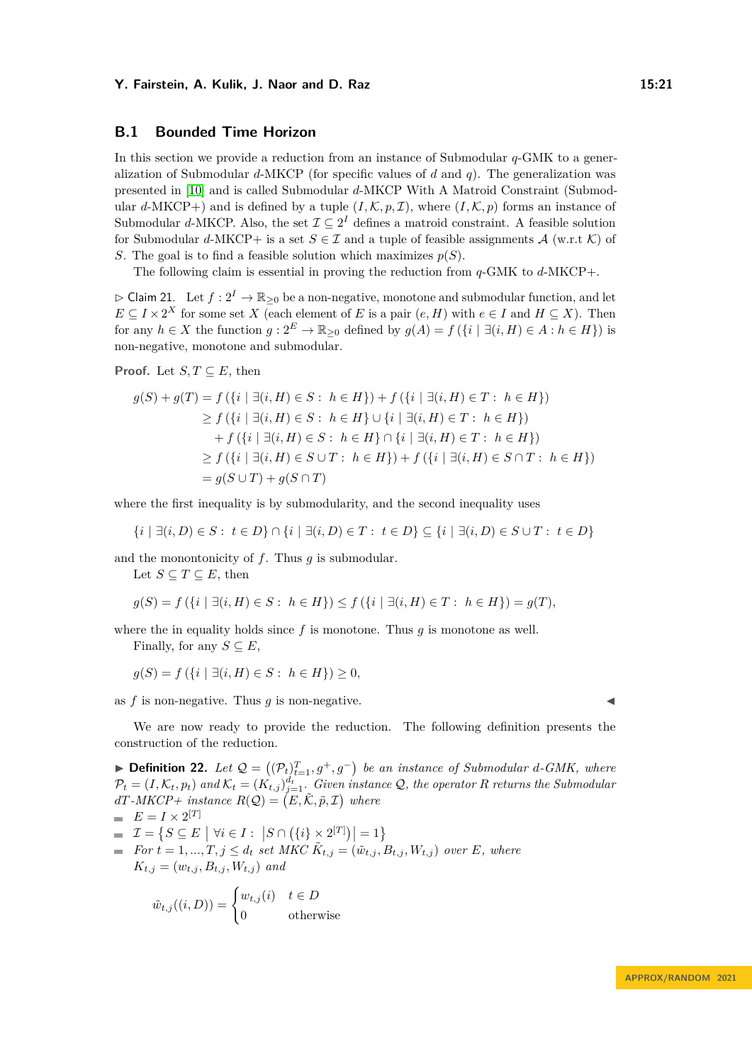### **B.1 Bounded Time Horizon**

In this section we provide a reduction from an instance of Submodular *q*-GMK to a generalization of Submodular *d*-MKCP (for specific values of *d* and *q*). The generalization was presented in [\[10\]](#page-16-8) and is called Submodular *d*-MKCP With A Matroid Constraint (Submodular *d*-MKCP+) and is defined by a tuple  $(I, \mathcal{K}, p, \mathcal{I})$ , where  $(I, \mathcal{K}, p)$  forms an instance of Submodular *d*-MKCP. Also, the set  $\mathcal{I} \subseteq 2^I$  defines a matroid constraint. A feasible solution for Submodular *d*-MKCP+ is a set  $S \in \mathcal{I}$  and a tuple of feasible assignments  $\mathcal{A}$  (w.r.t  $\mathcal{K}$ ) of *S*. The goal is to find a feasible solution which maximizes  $p(S)$ .

The following claim is essential in proving the reduction from *q*-GMK to *d*-MKCP+.

<span id="page-20-1"></span> $\triangleright$  Claim 21. Let  $f: 2^I \to \mathbb{R}_{\geq 0}$  be a non-negative, monotone and submodular function, and let  $E \subseteq I \times 2^X$  for some set *X* (each element of *E* is a pair  $(e, H)$  with  $e \in I$  and  $H \subseteq X$ ). Then for any  $h \in X$  the function  $g: 2^E \to \mathbb{R}_{\geq 0}$  defined by  $g(A) = f(\lbrace i | \exists (i, H) \in A : h \in H \rbrace)$  is non-negative, monotone and submodular.

**Proof.** Let  $S, T \subseteq E$ , then

$$
g(S) + g(T) = f(\{i \mid \exists (i, H) \in S : h \in H\}) + f(\{i \mid \exists (i, H) \in T : h \in H\})
$$
  
\n
$$
\geq f(\{i \mid \exists (i, H) \in S : h \in H\} \cup \{i \mid \exists (i, H) \in T : h \in H\})
$$
  
\n
$$
+ f(\{i \mid \exists (i, H) \in S : h \in H\} \cap \{i \mid \exists (i, H) \in T : h \in H\})
$$
  
\n
$$
\geq f(\{i \mid \exists (i, H) \in S \cup T : h \in H\}) + f(\{i \mid \exists (i, H) \in S \cap T : h \in H\})
$$
  
\n
$$
= g(S \cup T) + g(S \cap T)
$$

where the first inequality is by submodularity, and the second inequality uses

$$
\{i \mid \exists (i, D) \in S : t \in D\} \cap \{i \mid \exists (i, D) \in T : t \in D\} \subseteq \{i \mid \exists (i, D) \in S \cup T : t \in D\}
$$

and the monontonicity of *f*. Thus *g* is submodular.

Let  $S \subseteq T \subseteq E$ , then

$$
g(S) = f(\{i \mid \exists (i, H) \in S : h \in H\}) \le f(\{i \mid \exists (i, H) \in T : h \in H\}) = g(T),
$$

where the in equality holds since  $f$  is monotone. Thus  $q$  is monotone as well. Finally, for any  $S \subseteq E$ ,

$$
g(S) = f(\{i \mid \exists (i, H) \in S : h \in H\}) \ge 0,
$$

as  $f$  is non-negative. Thus  $q$  is non-negative.

We are now ready to provide the reduction. The following definition presents the construction of the reduction.

<span id="page-20-0"></span>▶ **Definition 22.** Let  $Q = ((P_t)_{t=1}^T, g^+, g^-)$  be an instance of Submodular d-GMK, where  $\mathcal{P}_t = (I, \mathcal{K}_t, p_t)$  and  $\mathcal{K}_t = (K_{t,j})_{j=1}^{d_t}$ . Given instance Q, the operator *R* returns the Submodular  $dT$ *-MKCP+* instance  $R(Q) = (E, \tilde{K}, \tilde{p}, \mathcal{I})$  where  $E = I \times 2^{[T]}$ 

$$
\mathcal{I} = \{ S \subseteq E \mid \forall i \in I : |S \cap (\{i\} \times 2^{[T]})| = 1 \}
$$

*For*  $\hat{t} = 1, ..., T, j \leq d_t$  *set MKC*  $\tilde{K}_{t,j} = (\tilde{w}_{t,j}, B_{t,j}, W_{t,j})$  *over E, where*  $K_{t,j} = (w_{t,j}, B_{t,j}, W_{t,j})$  and

$$
\tilde{w}_{t,j}((i,D)) = \begin{cases} w_{t,j}(i) & t \in D \\ 0 & \text{otherwise} \end{cases}
$$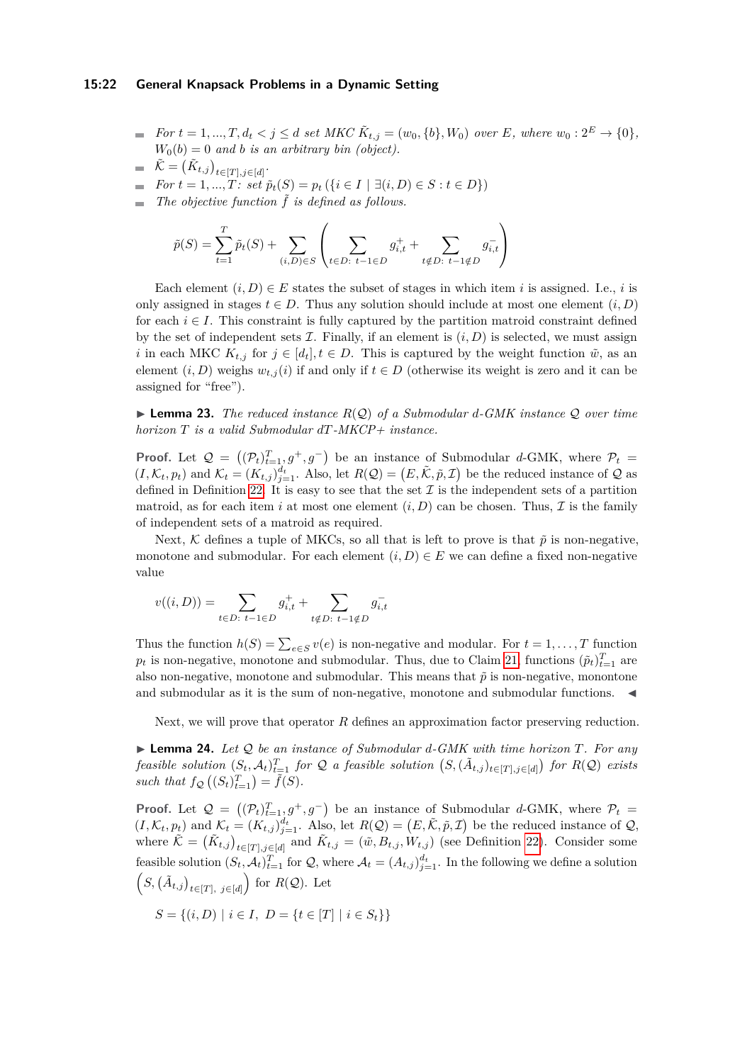#### **15:22 General Knapsack Problems in a Dynamic Setting**

- *For*  $t = 1, ..., T, d_t < j \le d$  *set MKC*  $\tilde{K}_{t,j} = (w_0, \{b\}, W_0)$  *over E, where*  $w_0: 2^E \to \{0\}$ *,*  $W_0(b) = 0$  *and b is an arbitrary bin (object).*
- $\tilde{\mathcal{K}} = \left( \tilde{K}_{t,j} \right)_{t \in [T], j \in [d]}$ .
- $\blacksquare$  *For*  $t = 1, ..., T$ *:* set  $\tilde{p}_t(S) = p_t (\{i \in I \mid \exists (i, D) \in S : t \in D\})$
- $\blacksquare$  The objective function  $\tilde{f}$  is defined as follows.

$$
\tilde{p}(S) = \sum_{t=1}^{T} \tilde{p}_t(S) + \sum_{(i,D) \in S} \left( \sum_{t \in D: \ t-1 \in D} g_{i,t}^+ + \sum_{t \notin D: \ t-1 \notin D} g_{i,t}^- \right)
$$

Each element  $(i, D) \in E$  states the subset of stages in which item *i* is assigned. I.e., *i* is only assigned in stages  $t \in D$ . Thus any solution should include at most one element  $(i, D)$ for each  $i \in I$ . This constraint is fully captured by the partition matroid constraint defined by the set of independent sets  $\mathcal I$ . Finally, if an element is  $(i, D)$  is selected, we must assign *i* in each MKC  $K_{t,j}$  for  $j \in [d_t], t \in D$ . This is captured by the weight function  $\tilde{w}$ , as an element  $(i, D)$  weighs  $w_{t,i}(i)$  if and only if  $t \in D$  (otherwise its weight is zero and it can be assigned for "free").

▶ **Lemma 23.** *The reduced instance R*(Q) *of a Submodular d-GMK instance* Q *over time horizon T is a valid Submodular dT-MKCP+ instance.*

**Proof.** Let  $\mathcal{Q} = ((\mathcal{P}_t)_{t=1}^T, g^+, g^-)$  be an instance of Submodular *d*-GMK, where  $\mathcal{P}_t$  $(I, \mathcal{K}_t, p_t)$  and  $\mathcal{K}_t = (K_{t,j})_{j=1}^{d_t}$ . Also, let  $R(Q) = (E, \tilde{\mathcal{K}}, \tilde{p}, \mathcal{I})$  be the reduced instance of Q as defined in Definition [22.](#page-20-0) It is easy to see that the set  $\mathcal I$  is the independent sets of a partition matroid, as for each item *i* at most one element  $(i, D)$  can be chosen. Thus,  $\mathcal I$  is the family of independent sets of a matroid as required.

Next, K defines a tuple of MKCs, so all that is left to prove is that  $\tilde{p}$  is non-negative, monotone and submodular. For each element  $(i, D) \in E$  we can define a fixed non-negative value

$$
v((i, D)) = \sum_{t \in D: \ t-1 \in D} g_{i,t}^+ + \sum_{t \notin D: \ t-1 \notin D} g_{i,t}^-
$$

Thus the function  $h(S) = \sum_{e \in S} v(e)$  is non-negative and modular. For  $t = 1, \ldots, T$  function  $p_t$  is non-negative, monotone and submodular. Thus, due to Claim [21,](#page-20-1) functions  $(\tilde{p}_t)_{t=1}^T$  are also non-negative, monotone and submodular. This means that  $\tilde{p}$  is non-negative, monontone and submodular as it is the sum of non-negative, monotone and submodular functions.

Next, we will prove that operator *R* defines an approximation factor preserving reduction.

▶ **Lemma 24.** *Let* Q *be an instance of Submodular d-GMK with time horizon T. For any* feasible solution  $(S_t, \mathcal{A}_t)_{t=1}^T$  for Q a feasible solution  $(S, (\tilde{A}_{t,j})_{t \in [T], j \in [d]})$  for  $R(\mathcal{Q})$  exists such that  $f_{\mathcal{Q}}((S_t)_{t=1}^T) = \tilde{f}(S)$ .

**Proof.** Let  $\mathcal{Q} = ((\mathcal{P}_t)_{t=1}^T, g^+, g^-)$  be an instance of Submodular *d*-GMK, where  $\mathcal{P}_t$  $(I, \mathcal{K}_t, p_t)$  and  $\mathcal{K}_t = (K_{t,j})_{j=1}^{d_t}$ . Also, let  $R(Q) = (E, \tilde{\mathcal{K}}, \tilde{p}, \mathcal{I})$  be the reduced instance of  $Q$ , where  $\tilde{\mathcal{K}} = (\tilde{K}_{t,j})_{t \in [T], j \in [d]}$  and  $\tilde{K}_{t,j} = (\tilde{w}, B_{t,j}, W_{t,j})$  (see Definition [22\)](#page-20-0). Consider some feasible solution  $(S_t, \mathcal{A}_t)_{t=1}^T$  for  $\mathcal{Q}$ , where  $\mathcal{A}_t = (A_{t,j})_{j=1}^{d_t}$ . In the following we define a solution  $(S, (\tilde{A}_{t,j})_{t \in [T], j \in [d]})$  for  $R(\mathcal{Q})$ . Let

$$
S = \{(i, D) \mid i \in I, \ D = \{t \in [T] \mid i \in S_t\}\}
$$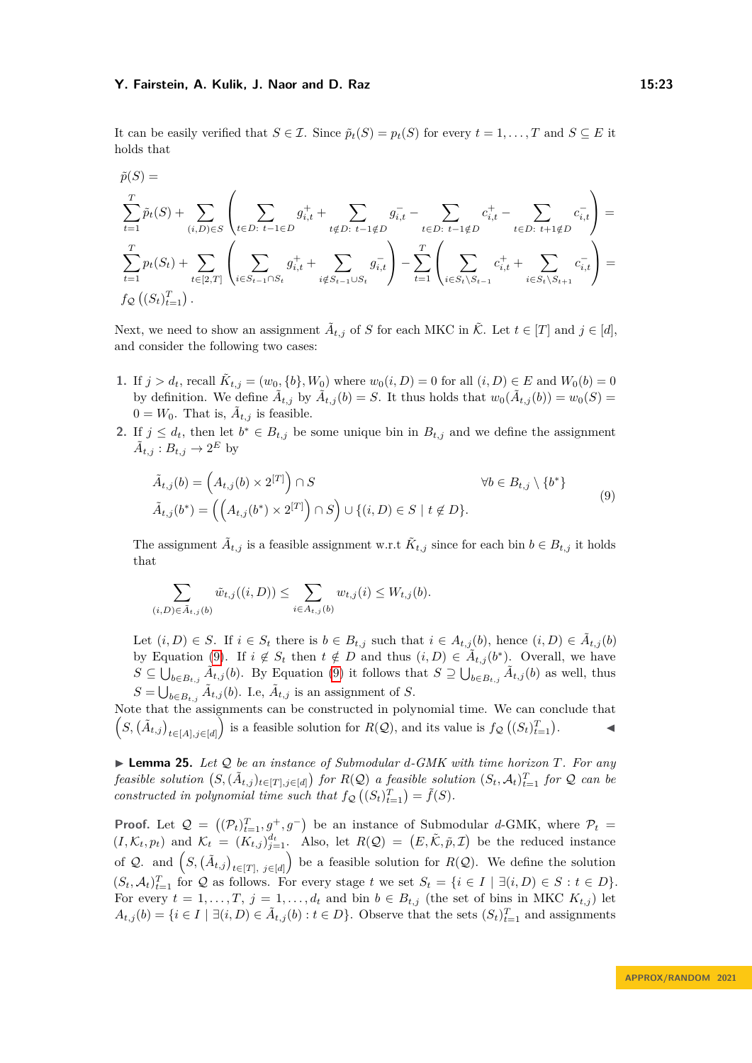It can be easily verified that  $S \in \mathcal{I}$ . Since  $\tilde{p}_t(S) = p_t(S)$  for every  $t = 1, \ldots, T$  and  $S \subseteq E$  it holds that

$$
\tilde{p}(S) = \sum_{t=1}^{T} \tilde{p}_t(S) + \sum_{(i,D) \in S} \left( \sum_{t \in D: t-1 \in D} g_{i,t}^+ + \sum_{t \notin D: t-1 \notin D} g_{i,t}^- - \sum_{t \in D: t-1 \notin D} c_{i,t}^+ - \sum_{t \in D: t+1 \notin D} c_{i,t}^- \right) = \sum_{t=1}^{T} p_t(S_t) + \sum_{t \in [2,T]} \left( \sum_{i \in S_{t-1} \cap S_t} g_{i,t}^+ + \sum_{i \notin S_{t-1} \cup S_t} g_{i,t}^- \right) - \sum_{t=1}^{T} \left( \sum_{i \in S_t \setminus S_{t-1}} c_{i,t}^+ + \sum_{i \in S_t \setminus S_{t+1}} c_{i,t}^- \right) = f_{\mathcal{Q}}\left( (S_t)_{t=1}^T \right).
$$

Next, we need to show an assignment  $\tilde{A}_{t,j}$  of *S* for each MKC in  $\tilde{\mathcal{K}}$ . Let  $t \in [T]$  and  $j \in [d]$ , and consider the following two cases:

- **1.** If  $j > d_t$ , recall  $\tilde{K}_{t,j} = (w_0, \{b\}, W_0)$  where  $w_0(i, D) = 0$  for all  $(i, D) \in E$  and  $W_0(b) = 0$ by definition. We define  $\tilde{A}_{t,j}$  by  $\tilde{A}_{t,j}(b) = S$ . It thus holds that  $w_0(\tilde{A}_{t,j}(b)) = w_0(S) =$  $0 = W_0$ . That is,  $\tilde{A}_{t,j}$  is feasible.
- **2.** If  $j \leq d_t$ , then let  $b^* \in B_{t,j}$  be some unique bin in  $B_{t,j}$  and we define the assignment  $\tilde{A}_{t,j}: B_{t,j} \to 2^E$  by

<span id="page-22-0"></span>
$$
\tilde{A}_{t,j}(b) = \left(A_{t,j}(b) \times 2^{[T]}\right) \cap S \qquad \forall b \in B_{t,j} \setminus \{b^*\}\
$$
\n
$$
\tilde{A}_{t,j}(b^*) = \left(\left(A_{t,j}(b^*) \times 2^{[T]}\right) \cap S\right) \cup \{(i,D) \in S \mid t \notin D\}.\tag{9}
$$

The assignment  $\tilde{A}_{t,j}$  is a feasible assignment w.r.t  $\tilde{K}_{t,j}$  since for each bin  $b \in B_{t,j}$  it holds that

$$
\sum_{(i,D)\in \tilde{A}_{t,j}(b)} \tilde{w}_{t,j}((i,D)) \leq \sum_{i\in A_{t,j}(b)} w_{t,j}(i) \leq W_{t,j}(b).
$$

Let  $(i, D) \in S$ . If  $i \in S_t$  there is  $b \in B_{t,j}$  such that  $i \in A_{t,j}(b)$ , hence  $(i, D) \in \tilde{A}_{t,j}(b)$ by Equation [\(9\)](#page-22-0). If  $i \notin S_t$  then  $t \notin D$  and thus  $(i, D) \in \tilde{A}_{t,j}(b^*)$ . Overall, we have *S* ⊆  $\bigcup_{b \in B_{t,j}} \tilde{A}_{t,j}(b)$ . By Equation [\(9\)](#page-22-0) it follows that  $S \supseteq \bigcup_{b \in B_{t,j}} \tilde{A}_{t,j}(b)$  as well, thus  $S = \bigcup_{b \in B_{t,j}} \tilde{A}_{t,j}(b)$ . I.e,  $\tilde{A}_{t,j}$  is an assignment of *S*.

Note that the assignments can be constructed in polynomial time. We can conclude that  $(S, (\tilde{A}_{t,j})_{t \in [A], j \in [d]}$  is a feasible solution for  $R(Q)$ , and its value is  $f_{\mathcal{Q}}((S_t)_{t=1}^T)$ . ◀

▶ **Lemma 25.** *Let* Q *be an instance of Submodular d-GMK with time horizon T. For any* feasible solution  $(S,(\tilde{A}_{t,j})_{t\in[T],j\in[d]})$  for  $R(\mathcal{Q})$  a feasible solution  $(S_t,\mathcal{A}_t)_{t=1}^T$  for  $\mathcal Q$  can be *constructed in polynomial time such that*  $f_{\mathcal{Q}}((S_t)_{t=1}^T) = \tilde{f}(S)$ .

**Proof.** Let  $Q = ((P_t)_{t=1}^T, g^+, g^-)$  be an instance of Submodular *d*-GMK, where  $P_t =$  $(I, \mathcal{K}_t, p_t)$  and  $\mathcal{K}_t = (K_{t,j})_{j=1}^{d_t}$ . Also, let  $R(Q) = (E, \tilde{\mathcal{K}}, \tilde{p}, \mathcal{I})$  be the reduced instance of Q. and  $(S, (\tilde{A}_{t,j})_{t \in [T], j \in [d]})$  be a feasible solution for  $R(\mathcal{Q})$ . We define the solution  $(S_t, \mathcal{A}_t)_{t=1}^T$  for  $\mathcal{Q}$  as follows. For every stage  $t$  we set  $S_t = \{i \in I \mid \exists (i, D) \in S : t \in D\}.$ For every  $t = 1, \ldots, T$ ,  $j = 1, \ldots, d_t$  and bin  $b \in B_{t,j}$  (the set of bins in MKC  $K_{t,j}$ ) let  $A_{t,j}(b) = \{i \in I \mid \exists (i, D) \in \tilde{A}_{t,j}(b) : t \in D\}$ . Observe that the sets  $(S_t)_{t=1}^T$  and assignments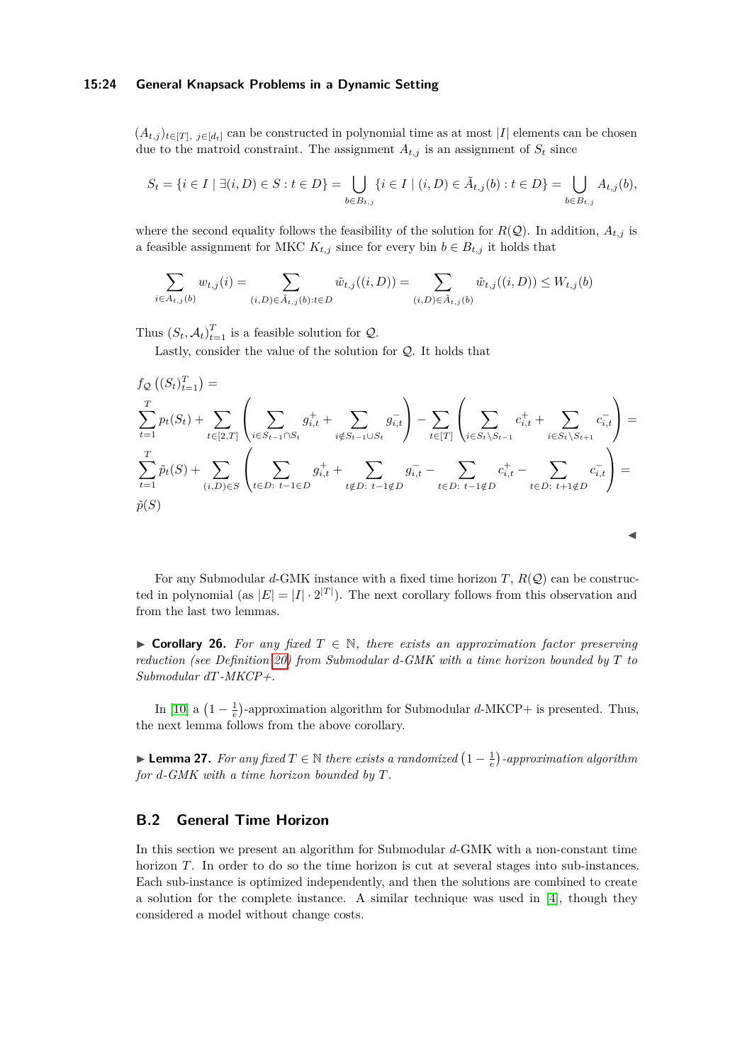#### **15:24 General Knapsack Problems in a Dynamic Setting**

 $(A_{t,j})_{t\in[T], j\in[d_t]}$  can be constructed in polynomial time as at most |*I*| elements can be chosen due to the matroid constraint. The assignment  $A_{t,j}$  is an assignment of  $S_t$  since

$$
S_t = \{i \in I \mid \exists (i, D) \in S : t \in D\} = \bigcup_{b \in B_{t,j}} \{i \in I \mid (i, D) \in \tilde{A}_{t,j}(b) : t \in D\} = \bigcup_{b \in B_{t,j}} A_{t,j}(b),
$$

where the second equality follows the feasibility of the solution for  $R(Q)$ . In addition,  $A_{t,j}$  is a feasible assignment for MKC  $K_{t,j}$  since for every bin  $b \in B_{t,j}$  it holds that

$$
\sum_{i \in A_{t,j}(b)} w_{t,j}(i) = \sum_{(i,D) \in \tilde{A}_{t,j}(b): t \in D} \tilde{w}_{t,j}((i,D)) = \sum_{(i,D) \in \tilde{A}_{t,j}(b)} \tilde{w}_{t,j}((i,D)) \le W_{t,j}(b)
$$

Thus  $(S_t, A_t)_{t=1}^T$  is a feasible solution for  $Q$ .

Lastly, consider the value of the solution for Q. It holds that

$$
f_{\mathcal{Q}}\left((S_{t})_{t=1}^{T}\right) = \sum_{t=1}^{T} p_{t}(S_{t}) + \sum_{t \in [2,T]} \left(\sum_{i \in S_{t-1} \cap S_{t}} g_{i,t}^{+} + \sum_{i \notin S_{t-1} \cup S_{t}} g_{i,t}^{-}\right) - \sum_{t \in [T]} \left(\sum_{i \in S_{t} \setminus S_{t-1}} c_{i,t}^{+} + \sum_{i \in S_{t} \setminus S_{t+1}} c_{i,t}^{-}\right) = \sum_{t=1}^{T} \tilde{p}_{t}(S) + \sum_{(i,D) \in S} \left(\sum_{t \in D: t-1 \in D} g_{i,t}^{+} + \sum_{t \notin D: t-1 \notin D} g_{i,t}^{-} - \sum_{t \in D: t-1 \notin D} c_{i,t}^{+} - \sum_{t \in D: t+1 \notin D} c_{i,t}^{-}\right) = \tilde{p}(S)
$$

For any Submodular  $d$ -GMK instance with a fixed time horizon *T*,  $R(Q)$  can be constructed in polynomial (as  $|E| = |I| \cdot 2^{|T|}$ ). The next corollary follows from this observation and from the last two lemmas.

◀

▶ **Corollary 26.** For any fixed  $T \in \mathbb{N}$ , there exists an approximation factor preserving *reduction (see Definition [20\)](#page-18-1) from Submodular d-GMK with a time horizon bounded by T to Submodular dT-MKCP+.*

In [\[10\]](#page-16-8) a  $\left(1 - \frac{1}{e}\right)$ -approximation algorithm for Submodular *d*-MKCP+ is presented. Thus, the next lemma follows from the above corollary.

<span id="page-23-1"></span>▶ **Lemma 27.** For any fixed  $T \in \mathbb{N}$  there exists a randomized  $\left(1 - \frac{1}{e}\right)$ -approximation algorithm *for d-GMK with a time horizon bounded by T.*

# <span id="page-23-0"></span>**B.2 General Time Horizon**

In this section we present an algorithm for Submodular *d*-GMK with a non-constant time horizon *T*. In order to do so the time horizon is cut at several stages into sub-instances. Each sub-instance is optimized independently, and then the solutions are combined to create a solution for the complete instance. A similar technique was used in [\[4\]](#page-16-5), though they considered a model without change costs.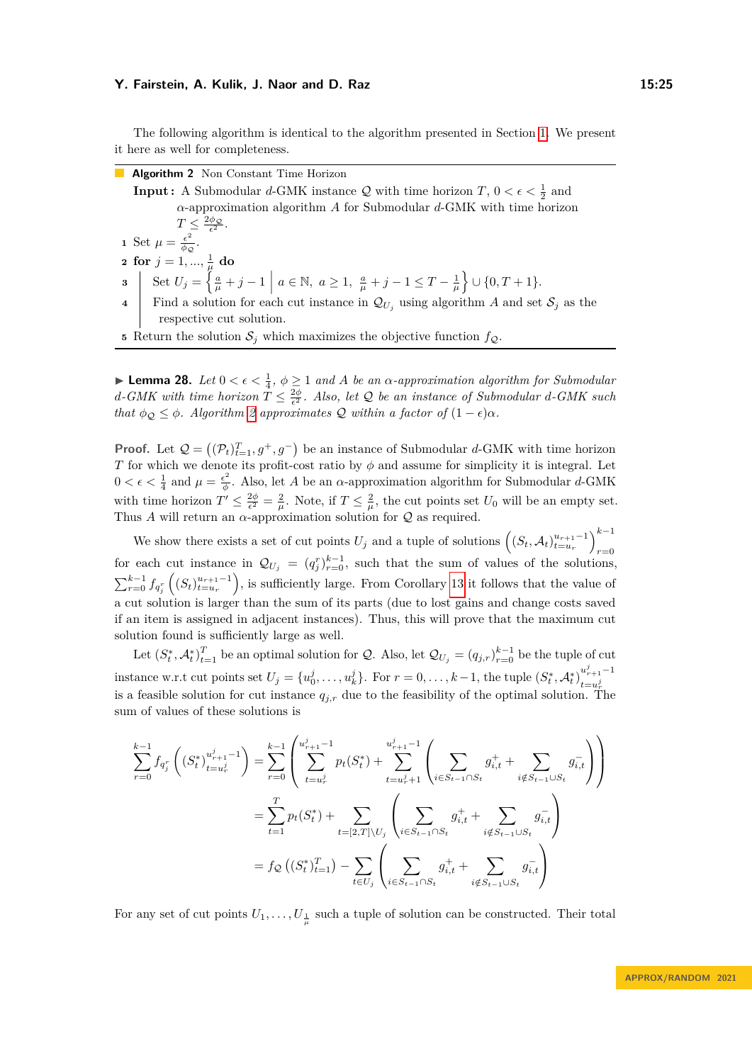The following algorithm is identical to the algorithm presented in Section [1.](#page-8-0) We present it here as well for completeness.

**Algorithm 2** Non Constant Time Horizon

**Input :** A Submodular *d*-GMK instance  $Q$  with time horizon  $T$ ,  $0 < \epsilon < \frac{1}{2}$  and *α*-approximation algorithm *A* for Submodular *d*-GMK with time horizon  $T \leq \frac{2\phi_{\mathcal{Q}}}{\epsilon^2}.$ **1** Set  $\mu = \frac{\epsilon^2}{\phi \epsilon^2}$  $\frac{\epsilon}{\phi_{\mathcal{Q}}}.$  $\mathbf{2} \ \ \mathbf{for} \ j=1,...,\frac{1}{\mu} \ \mathbf{do}$ **3** Set  $U_j = \left\{ \frac{a}{\mu} + j - 1 \mid a \in \mathbb{N}, a \ge 1, \frac{a}{\mu} + j - 1 \le T - \frac{1}{\mu} \right\} \cup \{0, T + 1\}.$ **4** Find a solution for each cut instance in  $\mathcal{Q}_{U_i}$  using algorithm *A* and set  $\mathcal{S}_j$  as the respective cut solution.

<span id="page-24-0"></span>**5** Return the solution  $S_j$  which maximizes the objective function  $f_{\mathcal{Q}}$ .

<span id="page-24-1"></span>**Lemma 28.** *Let*  $0 < \epsilon < \frac{1}{4}$ ,  $\phi \geq 1$  *and A be an*  $\alpha$ -*approximation algorithm for Submodular d*-GMK with time horizon  $T \leq \frac{2\phi}{\epsilon^2}$ . Also, let Q be an instance of Submodular *d*-GMK such *that*  $\phi_{\mathcal{Q}} \leq \phi$ *. Algorithm [2](#page-24-0) approximates*  $\mathcal{Q}$  *within a factor of*  $(1 - \epsilon)\alpha$ *.* 

**Proof.** Let  $Q = ((P_t)_{t=1}^T, g^+, g^-)$  be an instance of Submodular *d*-GMK with time horizon *T* for which we denote its profit-cost ratio by  $\phi$  and assume for simplicity it is integral. Let  $0 < \epsilon < \frac{1}{4}$  and  $\mu = \frac{\epsilon^2}{\phi}$  $\frac{\epsilon^2}{\phi}$ . Also, let *A* be an *α*-approximation algorithm for Submodular *d*-GMK with time horizon  $T' \leq \frac{2\phi}{\epsilon^2} = \frac{2}{\mu}$ . Note, if  $T \leq \frac{2}{\mu}$ , the cut points set  $U_0$  will be an empty set. Thus *A* will return an  $\alpha$ -approximation solution for  $Q$  as required.

We show there exists a set of cut points  $U_j$  and a tuple of solutions  $\left( (S_t, \mathcal{A}_t)_{t=u_r}^{u_{r+1}-1} \right)_{s=0}^{k-1}$ *r*=0 for each cut instance in  $\mathcal{Q}_{U_j} = (q_j^r)_{r=0}^{k-1}$ , such that the sum of values of the solutions,  $\sum_{r=0}^{k-1} f_{q_i^r}((S_t)_{t=u_r}^{u_{r+1}-1})$ , is sufficiently large. From Corollary [13](#page-8-1) it follows that the value of a cut solution is larger than the sum of its parts (due to lost gains and change costs saved if an item is assigned in adjacent instances). Thus, this will prove that the maximum cut solution found is sufficiently large as well.

Let  $(S_t^*, A_t^*)_{t=1}^T$  be an optimal solution for Q. Also, let  $\mathcal{Q}_{U_j} = (q_{j,r})_{r=0}^{k-1}$  be the tuple of cut instance w.r.t cut points set  $U_j = \{u_0^j, \ldots, u_k^j\}$ . For  $r = 0, \ldots, k-1$ , the tuple  $(S_t^*, \mathcal{A}_t^*)_{t=u_j^j}^{u_{r+1}^j-1}$  $t = u^j_r$ is a feasible solution for cut instance  $q_{j,r}$  due to the feasibility of the optimal solution. The sum of values of these solutions is

$$
\sum_{r=0}^{k-1} f_{q_j^r} \left( (S_t^*)_{t=u_r^j}^{u_{r+1}^j - 1} \right) = \sum_{r=0}^{k-1} \left( \sum_{t=u_r^j}^{u_{r+1}^j - 1} p_t(S_t^*) + \sum_{t=u_r^j+1}^{u_{r+1}^j - 1} \left( \sum_{i \in S_{t-1} \cap S_t} g_{i,t}^+ + \sum_{i \notin S_{t-1} \cup S_t} g_{i,t}^- \right) \right)
$$
\n
$$
= \sum_{t=1}^T p_t(S_t^*) + \sum_{t=[2,T] \setminus U_j} \left( \sum_{i \in S_{t-1} \cap S_t} g_{i,t}^+ + \sum_{i \notin S_{t-1} \cup S_t} g_{i,t}^- \right)
$$
\n
$$
= f_{\mathcal{Q}} \left( (S_t^*)_{t=1}^T \right) - \sum_{t \in U_j} \left( \sum_{i \in S_{t-1} \cap S_t} g_{i,t}^+ + \sum_{i \notin S_{t-1} \cup S_t} g_{i,t}^- \right)
$$

For any set of cut points  $U_1, \ldots, U_{\frac{1}{\mu}}$  such a tuple of solution can be constructed. Their total